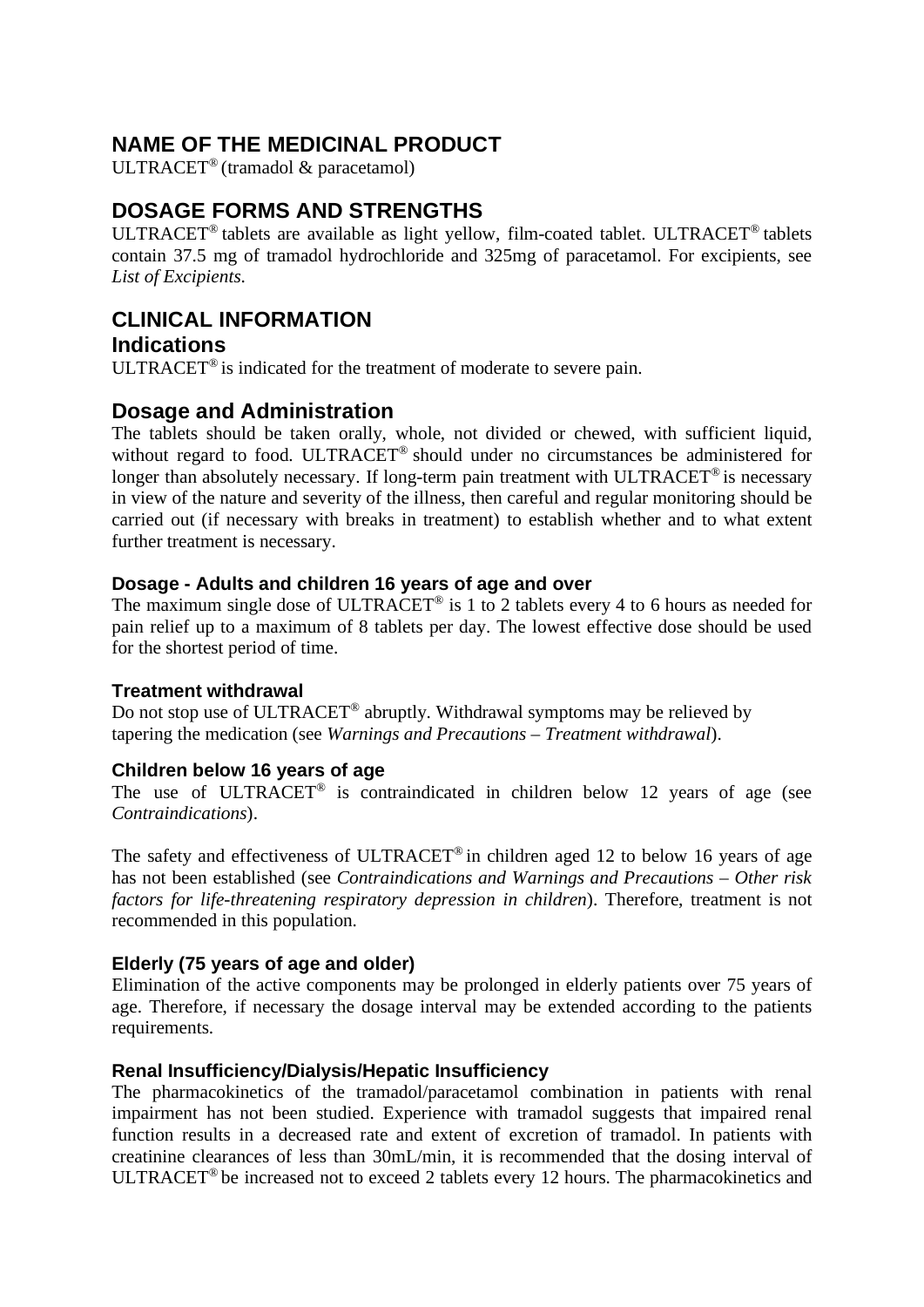# **NAME OF THE MEDICINAL PRODUCT**

ULTRACET® (tramadol & paracetamol)

# **DOSAGE FORMS AND STRENGTHS**

ULTRACET® tablets are available as light yellow, film-coated tablet. ULTRACET® tablets contain 37.5 mg of tramadol hydrochloride and 325mg of paracetamol. For excipients, see *List of Excipients*.

# **CLINICAL INFORMATION**

## **Indications**

ULTRACET® is indicated for the treatment of moderate to severe pain.

## **Dosage and Administration**

The tablets should be taken orally, whole, not divided or chewed, with sufficient liquid, without regard to food. ULTRACET<sup>®</sup> should under no circumstances be administered for longer than absolutely necessary. If long-term pain treatment with ULTRACET<sup>®</sup> is necessary in view of the nature and severity of the illness, then careful and regular monitoring should be carried out (if necessary with breaks in treatment) to establish whether and to what extent further treatment is necessary.

## **Dosage - Adults and children 16 years of age and over**

The maximum single dose of ULTRACET<sup>®</sup> is 1 to 2 tablets every 4 to 6 hours as needed for pain relief up to a maximum of 8 tablets per day. The lowest effective dose should be used for the shortest period of time.

## **Treatment withdrawal**

Do not stop use of ULTRACET® abruptly. Withdrawal symptoms may be relieved by tapering the medication (see *Warnings and Precautions – Treatment withdrawal*).

## **Children below 16 years of age**

The use of ULTRACET<sup>®</sup> is contraindicated in children below 12 years of age (see *Contraindications*).

The safety and effectiveness of ULTRACET<sup>®</sup> in children aged 12 to below 16 years of age has not been established (see *Contraindications and Warnings and Precautions – Other risk factors for life-threatening respiratory depression in children*). Therefore, treatment is not recommended in this population.

## **Elderly (75 years of age and older)**

Elimination of the active components may be prolonged in elderly patients over 75 years of age. Therefore, if necessary the dosage interval may be extended according to the patients requirements.

## **Renal Insufficiency/Dialysis/Hepatic Insufficiency**

The pharmacokinetics of the tramadol/paracetamol combination in patients with renal impairment has not been studied. Experience with tramadol suggests that impaired renal function results in a decreased rate and extent of excretion of tramadol. In patients with creatinine clearances of less than 30mL/min, it is recommended that the dosing interval of ULTRACET® be increased not to exceed 2 tablets every 12 hours. The pharmacokinetics and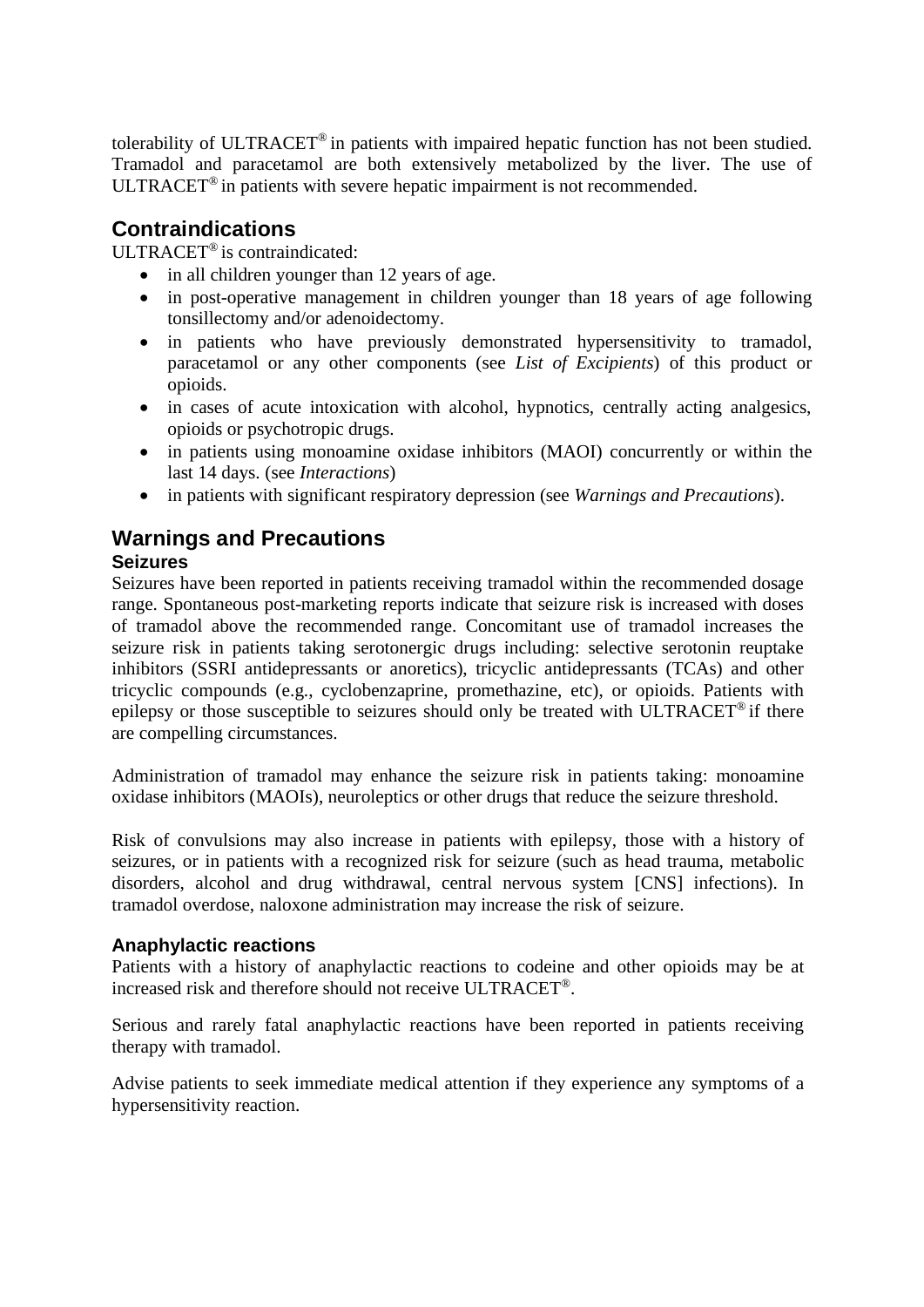tolerability of ULTRACET® in patients with impaired hepatic function has not been studied. Tramadol and paracetamol are both extensively metabolized by the liver. The use of ULTRACET® in patients with severe hepatic impairment is not recommended.

# **Contraindications**

ULTRACET® is contraindicated:

- in all children younger than 12 years of age.
- in post-operative management in children younger than 18 years of age following tonsillectomy and/or adenoidectomy.
- in patients who have previously demonstrated hypersensitivity to tramadol, paracetamol or any other components (see *List of Excipients*) of this product or opioids.
- in cases of acute intoxication with alcohol, hypnotics, centrally acting analgesics, opioids or psychotropic drugs.
- in patients using monoamine oxidase inhibitors (MAOI) concurrently or within the last 14 days. (see *Interactions*)
- in patients with significant respiratory depression (see *Warnings and Precautions*).

## **Warnings and Precautions Seizures**

Seizures have been reported in patients receiving tramadol within the recommended dosage range. Spontaneous post-marketing reports indicate that seizure risk is increased with doses of tramadol above the recommended range. Concomitant use of tramadol increases the seizure risk in patients taking serotonergic drugs including: selective serotonin reuptake inhibitors (SSRI antidepressants or anoretics), tricyclic antidepressants (TCAs) and other tricyclic compounds (e.g., cyclobenzaprine, promethazine, etc), or opioids. Patients with epilepsy or those susceptible to seizures should only be treated with ULTRACET® if there are compelling circumstances.

Administration of tramadol may enhance the seizure risk in patients taking: monoamine oxidase inhibitors (MAOIs), neuroleptics or other drugs that reduce the seizure threshold.

Risk of convulsions may also increase in patients with epilepsy, those with a history of seizures, or in patients with a recognized risk for seizure (such as head trauma, metabolic disorders, alcohol and drug withdrawal, central nervous system [CNS] infections). In tramadol overdose, naloxone administration may increase the risk of seizure.

## **Anaphylactic reactions**

Patients with a history of anaphylactic reactions to codeine and other opioids may be at increased risk and therefore should not receive ULTRACET®.

Serious and rarely fatal anaphylactic reactions have been reported in patients receiving therapy with tramadol.

Advise patients to seek immediate medical attention if they experience any symptoms of a hypersensitivity reaction.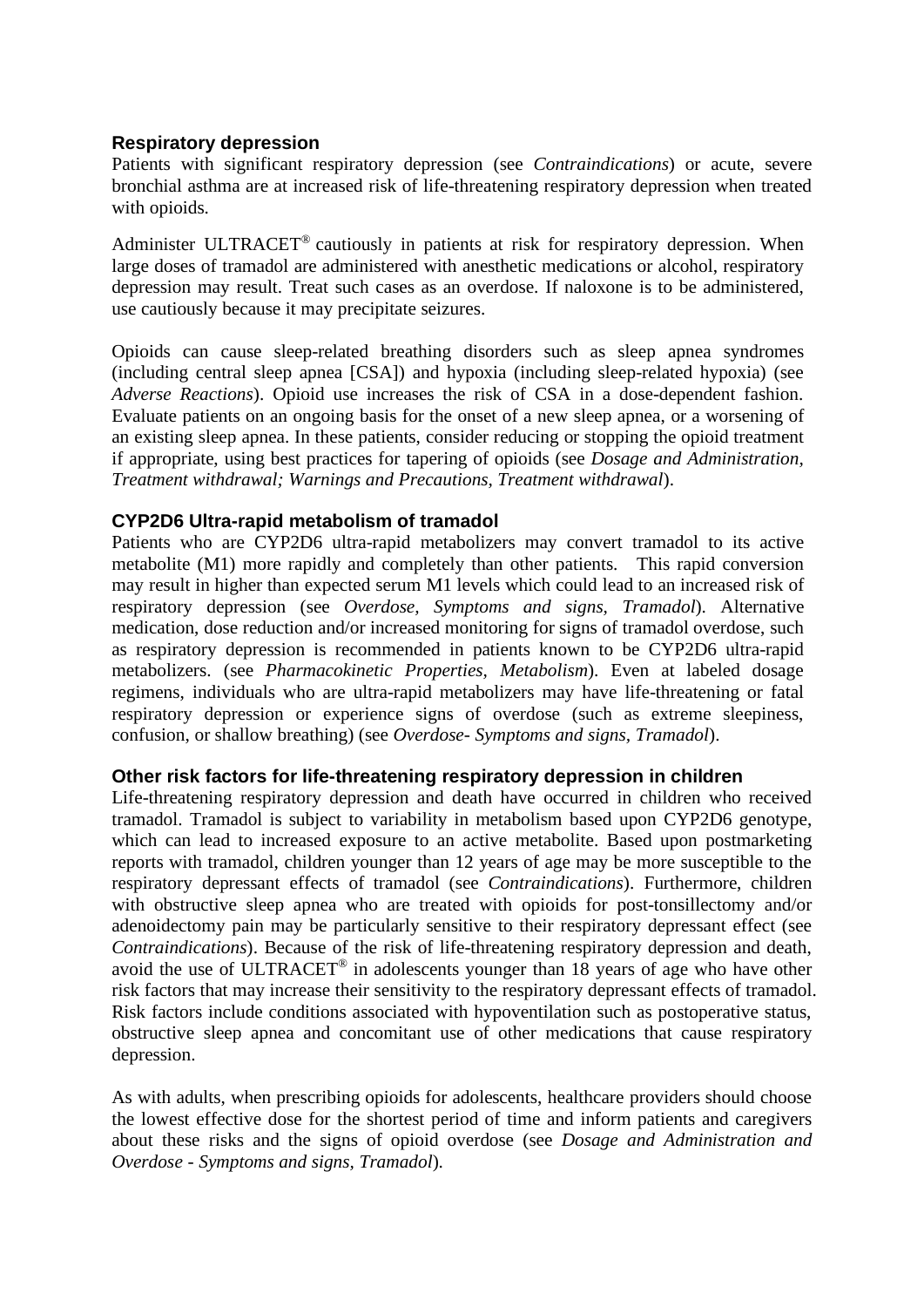## **Respiratory depression**

Patients with significant respiratory depression (see *Contraindications*) or acute, severe bronchial asthma are at increased risk of life-threatening respiratory depression when treated with opioids.

Administer ULTRACET® cautiously in patients at risk for respiratory depression. When large doses of tramadol are administered with anesthetic medications or alcohol, respiratory depression may result. Treat such cases as an overdose. If naloxone is to be administered, use cautiously because it may precipitate seizures.

Opioids can cause sleep-related breathing disorders such as sleep apnea syndromes (including central sleep apnea [CSA]) and hypoxia (including sleep-related hypoxia) (see *Adverse Reactions*). Opioid use increases the risk of CSA in a dose-dependent fashion. Evaluate patients on an ongoing basis for the onset of a new sleep apnea, or a worsening of an existing sleep apnea. In these patients, consider reducing or stopping the opioid treatment if appropriate, using best practices for tapering of opioids (see *Dosage and Administration, Treatment withdrawal; Warnings and Precautions, Treatment withdrawal*).

## **CYP2D6 Ultra-rapid metabolism of tramadol**

Patients who are CYP2D6 ultra-rapid metabolizers may convert tramadol to its active metabolite (M1) more rapidly and completely than other patients. This rapid conversion may result in higher than expected serum M1 levels which could lead to an increased risk of respiratory depression (see *Overdose, Symptoms and signs, Tramadol*). Alternative medication, dose reduction and/or increased monitoring for signs of tramadol overdose, such as respiratory depression is recommended in patients known to be CYP2D6 ultra-rapid metabolizers. (see *Pharmacokinetic Properties, Metabolism*). Even at labeled dosage regimens, individuals who are ultra-rapid metabolizers may have life-threatening or fatal respiratory depression or experience signs of overdose (such as extreme sleepiness, confusion, or shallow breathing) (see *Overdose- Symptoms and signs, Tramadol*).

## **Other risk factors for life-threatening respiratory depression in children**

Life-threatening respiratory depression and death have occurred in children who received tramadol. Tramadol is subject to variability in metabolism based upon CYP2D6 genotype, which can lead to increased exposure to an active metabolite. Based upon postmarketing reports with tramadol, children younger than 12 years of age may be more susceptible to the respiratory depressant effects of tramadol (see *Contraindications*). Furthermore, children with obstructive sleep apnea who are treated with opioids for post-tonsillectomy and/or adenoidectomy pain may be particularly sensitive to their respiratory depressant effect (see *Contraindications*). Because of the risk of life-threatening respiratory depression and death, avoid the use of ULTRACET® in adolescents younger than 18 years of age who have other risk factors that may increase their sensitivity to the respiratory depressant effects of tramadol. Risk factors include conditions associated with hypoventilation such as postoperative status, obstructive sleep apnea and concomitant use of other medications that cause respiratory depression.

As with adults, when prescribing opioids for adolescents, healthcare providers should choose the lowest effective dose for the shortest period of time and inform patients and caregivers about these risks and the signs of opioid overdose (see *Dosage and Administration and Overdose - Symptoms and signs, Tramadol*).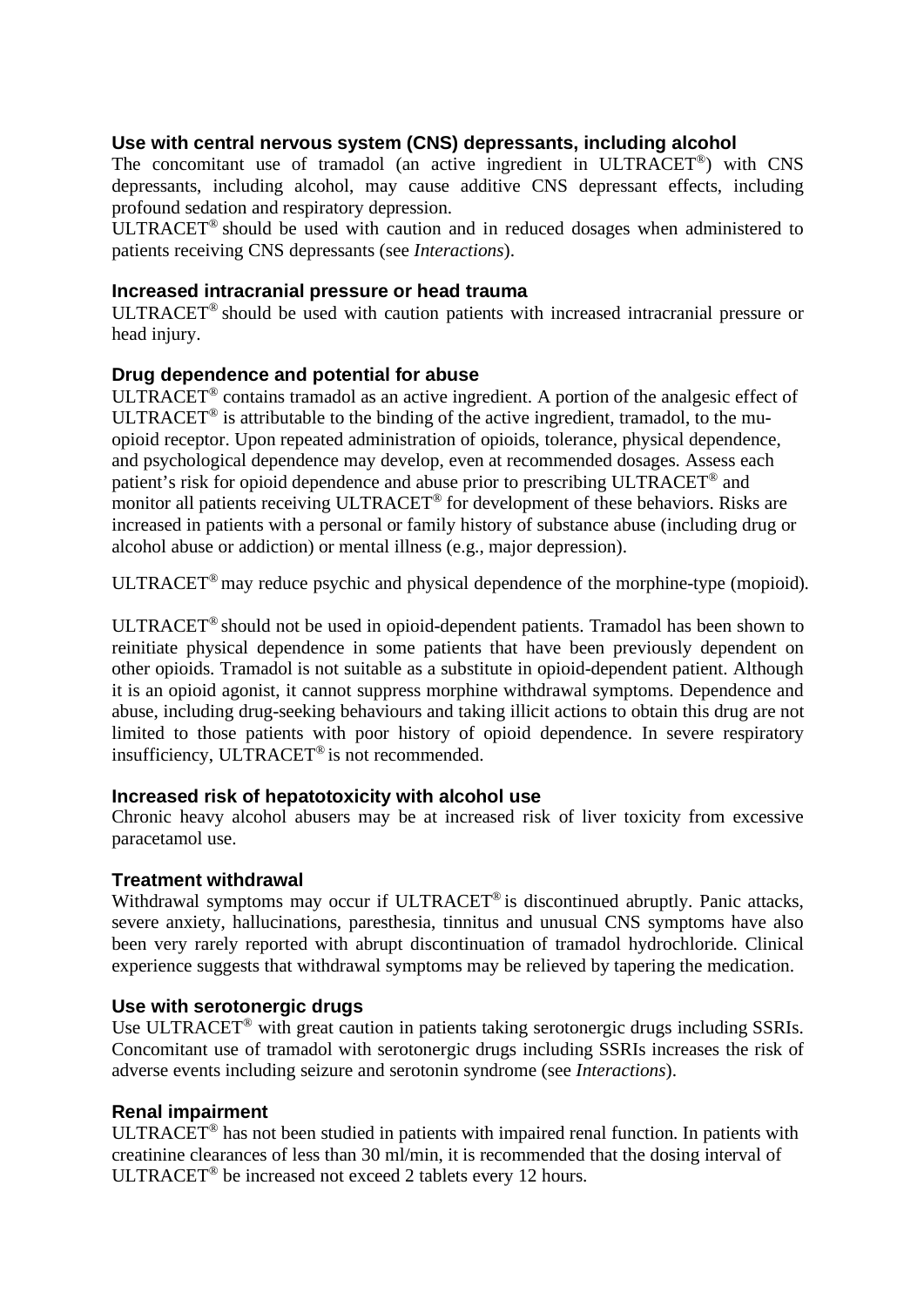## **Use with central nervous system (CNS) depressants, including alcohol**

The concomitant use of tramadol (an active ingredient in ULTRACET®) with CNS depressants, including alcohol, may cause additive CNS depressant effects, including profound sedation and respiratory depression.

ULTRACET® should be used with caution and in reduced dosages when administered to patients receiving CNS depressants (see *Interactions*).

### **Increased intracranial pressure or head trauma**

ULTRACET® should be used with caution patients with increased intracranial pressure or head injury.

### **Drug dependence and potential for abuse**

ULTRACET® contains tramadol as an active ingredient. A portion of the analgesic effect of ULTRACET® is attributable to the binding of the active ingredient, tramadol, to the muopioid receptor. Upon repeated administration of opioids, tolerance, physical dependence, and psychological dependence may develop, even at recommended dosages. Assess each patient's risk for opioid dependence and abuse prior to prescribing ULTRACET® and monitor all patients receiving ULTRACET® for development of these behaviors. Risks are increased in patients with a personal or family history of substance abuse (including drug or alcohol abuse or addiction) or mental illness (e.g., major depression).

ULTRACET® may reduce psychic and physical dependence of the morphine-type (mopioid).

ULTRACET® should not be used in opioid-dependent patients. Tramadol has been shown to reinitiate physical dependence in some patients that have been previously dependent on other opioids. Tramadol is not suitable as a substitute in opioid-dependent patient. Although it is an opioid agonist, it cannot suppress morphine withdrawal symptoms. Dependence and abuse, including drug-seeking behaviours and taking illicit actions to obtain this drug are not limited to those patients with poor history of opioid dependence. In severe respiratory insufficiency, ULTRACET® is not recommended.

### **Increased risk of hepatotoxicity with alcohol use**

Chronic heavy alcohol abusers may be at increased risk of liver toxicity from excessive paracetamol use.

### **Treatment withdrawal**

Withdrawal symptoms may occur if ULTRACET<sup>®</sup> is discontinued abruptly. Panic attacks, severe anxiety, hallucinations, paresthesia, tinnitus and unusual CNS symptoms have also been very rarely reported with abrupt discontinuation of tramadol hydrochloride. Clinical experience suggests that withdrawal symptoms may be relieved by tapering the medication.

### **Use with serotonergic drugs**

Use ULTRACET<sup>®</sup> with great caution in patients taking serotonergic drugs including SSRIs. Concomitant use of tramadol with serotonergic drugs including SSRIs increases the risk of adverse events including seizure and serotonin syndrome (see *Interactions*).

## **Renal impairment**

ULTRACET® has not been studied in patients with impaired renal function. In patients with creatinine clearances of less than 30 ml/min, it is recommended that the dosing interval of ULTRACET® be increased not exceed 2 tablets every 12 hours.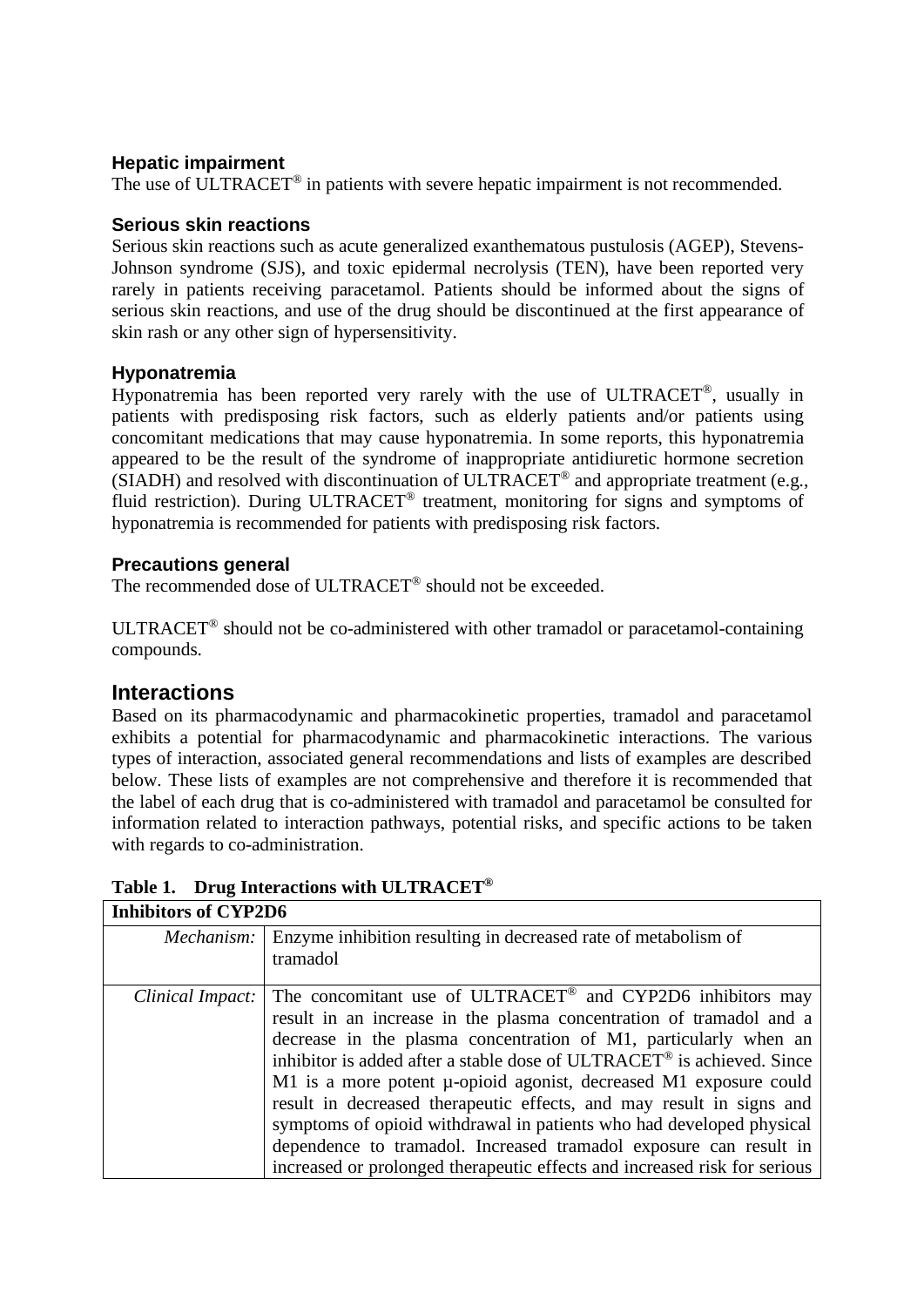## **Hepatic impairment**

The use of ULTRACET<sup>®</sup> in patients with severe hepatic impairment is not recommended.

### **Serious skin reactions**

Serious skin reactions such as acute generalized exanthematous pustulosis (AGEP), Stevens-Johnson syndrome (SJS), and toxic epidermal necrolysis (TEN), have been reported very rarely in patients receiving paracetamol. Patients should be informed about the signs of serious skin reactions, and use of the drug should be discontinued at the first appearance of skin rash or any other sign of hypersensitivity.

## **Hyponatremia**

Hyponatremia has been reported very rarely with the use of ULTRACET®, usually in patients with predisposing risk factors, such as elderly patients and/or patients using concomitant medications that may cause hyponatremia. In some reports, this hyponatremia appeared to be the result of the syndrome of inappropriate antidiuretic hormone secretion  $(SIADH)$  and resolved with discontinuation of ULTRACET<sup>®</sup> and appropriate treatment (e.g., fluid restriction). During ULTRACET® treatment, monitoring for signs and symptoms of hyponatremia is recommended for patients with predisposing risk factors.

## **Precautions general**

The recommended dose of ULTRACET® should not be exceeded.

ULTRACET® should not be co-administered with other tramadol or paracetamol-containing compounds.

## **Interactions**

Based on its pharmacodynamic and pharmacokinetic properties, tramadol and paracetamol exhibits a potential for pharmacodynamic and pharmacokinetic interactions. The various types of interaction, associated general recommendations and lists of examples are described below. These lists of examples are not comprehensive and therefore it is recommended that the label of each drug that is co-administered with tramadol and paracetamol be consulted for information related to interaction pathways, potential risks, and specific actions to be taken with regards to co-administration.

| <b>Inhibitors of CYP2D6</b> |                                                                                    |
|-----------------------------|------------------------------------------------------------------------------------|
| Mechanism:                  | Enzyme inhibition resulting in decreased rate of metabolism of                     |
|                             | tramadol                                                                           |
| Clinical Impact:            | The concomitant use of ULTRACET® and CYP2D6 inhibitors may                         |
|                             | result in an increase in the plasma concentration of tramadol and a                |
|                             | decrease in the plasma concentration of M1, particularly when an                   |
|                             | inhibitor is added after a stable dose of ULTRACET <sup>®</sup> is achieved. Since |
|                             | M1 is a more potent µ-opioid agonist, decreased M1 exposure could                  |
|                             | result in decreased therapeutic effects, and may result in signs and               |
|                             | symptoms of opioid withdrawal in patients who had developed physical               |
|                             | dependence to tramadol. Increased tramadol exposure can result in                  |
|                             | increased or prolonged therapeutic effects and increased risk for serious          |

**Table 1. Drug Interactions with ULTRACET®**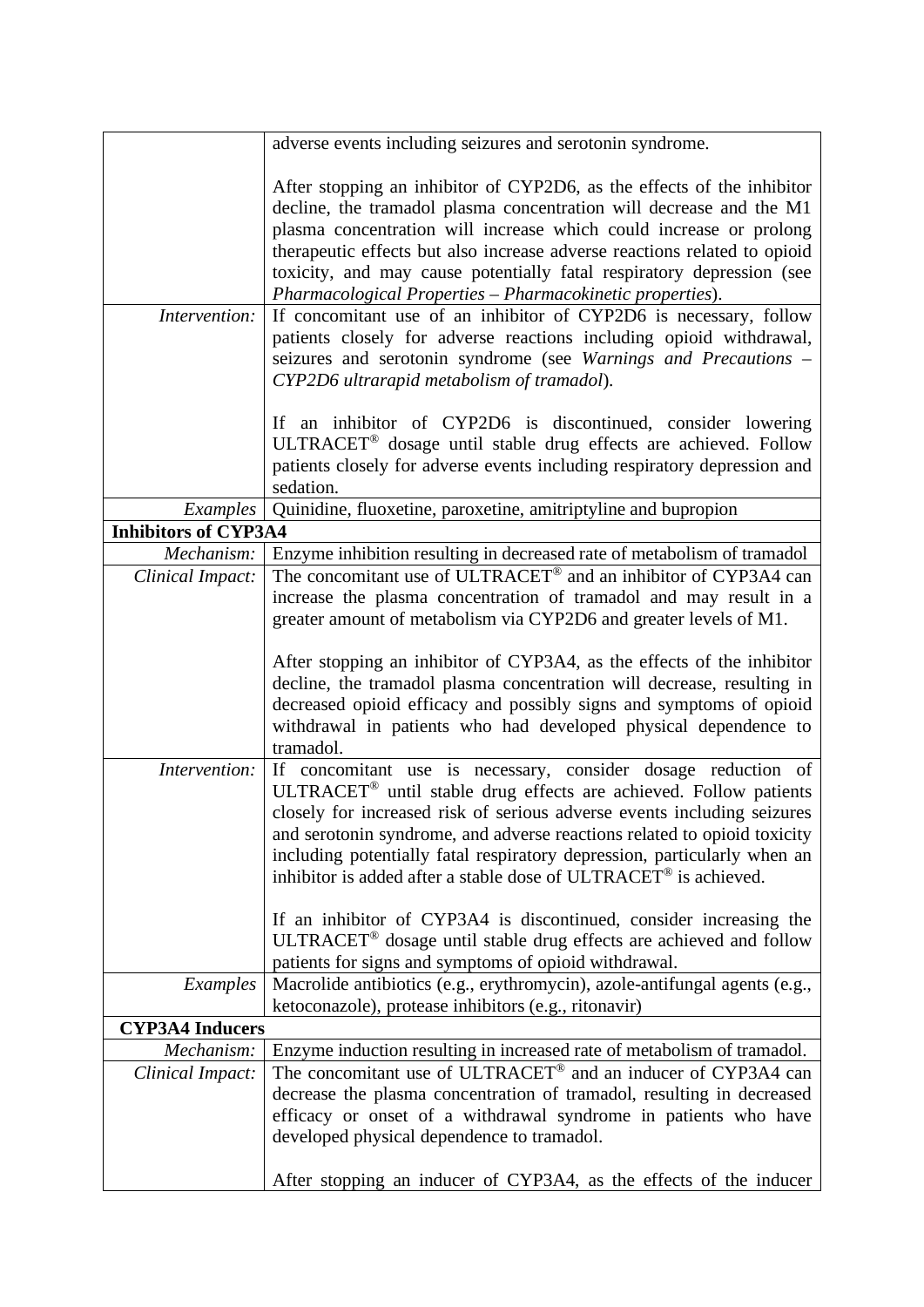|                             | adverse events including seizures and serotonin syndrome.                                                                                                                                                                                                                                                                                                                                                                                                                                                                                                                                           |  |
|-----------------------------|-----------------------------------------------------------------------------------------------------------------------------------------------------------------------------------------------------------------------------------------------------------------------------------------------------------------------------------------------------------------------------------------------------------------------------------------------------------------------------------------------------------------------------------------------------------------------------------------------------|--|
|                             | After stopping an inhibitor of CYP2D6, as the effects of the inhibitor<br>decline, the tramadol plasma concentration will decrease and the M1<br>plasma concentration will increase which could increase or prolong<br>therapeutic effects but also increase adverse reactions related to opioid<br>toxicity, and may cause potentially fatal respiratory depression (see<br>Pharmacological Properties - Pharmacokinetic properties).                                                                                                                                                              |  |
| Intervention:               | If concomitant use of an inhibitor of CYP2D6 is necessary, follow<br>patients closely for adverse reactions including opioid withdrawal,<br>seizures and serotonin syndrome (see Warnings and Precautions –<br>CYP2D6 ultrarapid metabolism of tramadol).                                                                                                                                                                                                                                                                                                                                           |  |
|                             | If an inhibitor of CYP2D6 is discontinued, consider lowering<br>ULTRACET <sup>®</sup> dosage until stable drug effects are achieved. Follow<br>patients closely for adverse events including respiratory depression and<br>sedation.                                                                                                                                                                                                                                                                                                                                                                |  |
| <i>Examples</i>             | Quinidine, fluoxetine, paroxetine, amitriptyline and bupropion                                                                                                                                                                                                                                                                                                                                                                                                                                                                                                                                      |  |
| <b>Inhibitors of CYP3A4</b> |                                                                                                                                                                                                                                                                                                                                                                                                                                                                                                                                                                                                     |  |
| Mechanism:                  | Enzyme inhibition resulting in decreased rate of metabolism of tramadol                                                                                                                                                                                                                                                                                                                                                                                                                                                                                                                             |  |
| Clinical Impact:            | The concomitant use of ULTRACET <sup>®</sup> and an inhibitor of CYP3A4 can                                                                                                                                                                                                                                                                                                                                                                                                                                                                                                                         |  |
| Intervention:               | increase the plasma concentration of tramadol and may result in a<br>greater amount of metabolism via CYP2D6 and greater levels of M1.<br>After stopping an inhibitor of CYP3A4, as the effects of the inhibitor<br>decline, the tramadol plasma concentration will decrease, resulting in<br>decreased opioid efficacy and possibly signs and symptoms of opioid<br>withdrawal in patients who had developed physical dependence to<br>tramadol.<br>If concomitant use is necessary, consider dosage reduction of<br>ULTRACET <sup>®</sup> until stable drug effects are achieved. Follow patients |  |
|                             | closely for increased risk of serious adverse events including seizures<br>and serotonin syndrome, and adverse reactions related to opioid toxicity<br>including potentially fatal respiratory depression, particularly when an<br>inhibitor is added after a stable dose of ULTRACET <sup>®</sup> is achieved.                                                                                                                                                                                                                                                                                     |  |
|                             | If an inhibitor of CYP3A4 is discontinued, consider increasing the<br>ULTRACET <sup>®</sup> dosage until stable drug effects are achieved and follow<br>patients for signs and symptoms of opioid withdrawal.                                                                                                                                                                                                                                                                                                                                                                                       |  |
| Examples                    | Macrolide antibiotics (e.g., erythromycin), azole-antifungal agents (e.g.,<br>ketoconazole), protease inhibitors (e.g., ritonavir)                                                                                                                                                                                                                                                                                                                                                                                                                                                                  |  |
| <b>CYP3A4 Inducers</b>      |                                                                                                                                                                                                                                                                                                                                                                                                                                                                                                                                                                                                     |  |
| Mechanism:                  | Enzyme induction resulting in increased rate of metabolism of tramadol.                                                                                                                                                                                                                                                                                                                                                                                                                                                                                                                             |  |
| Clinical Impact:            | The concomitant use of ULTRACET® and an inducer of CYP3A4 can<br>decrease the plasma concentration of tramadol, resulting in decreased<br>efficacy or onset of a withdrawal syndrome in patients who have                                                                                                                                                                                                                                                                                                                                                                                           |  |
|                             | developed physical dependence to tramadol.<br>After stopping an inducer of CYP3A4, as the effects of the inducer                                                                                                                                                                                                                                                                                                                                                                                                                                                                                    |  |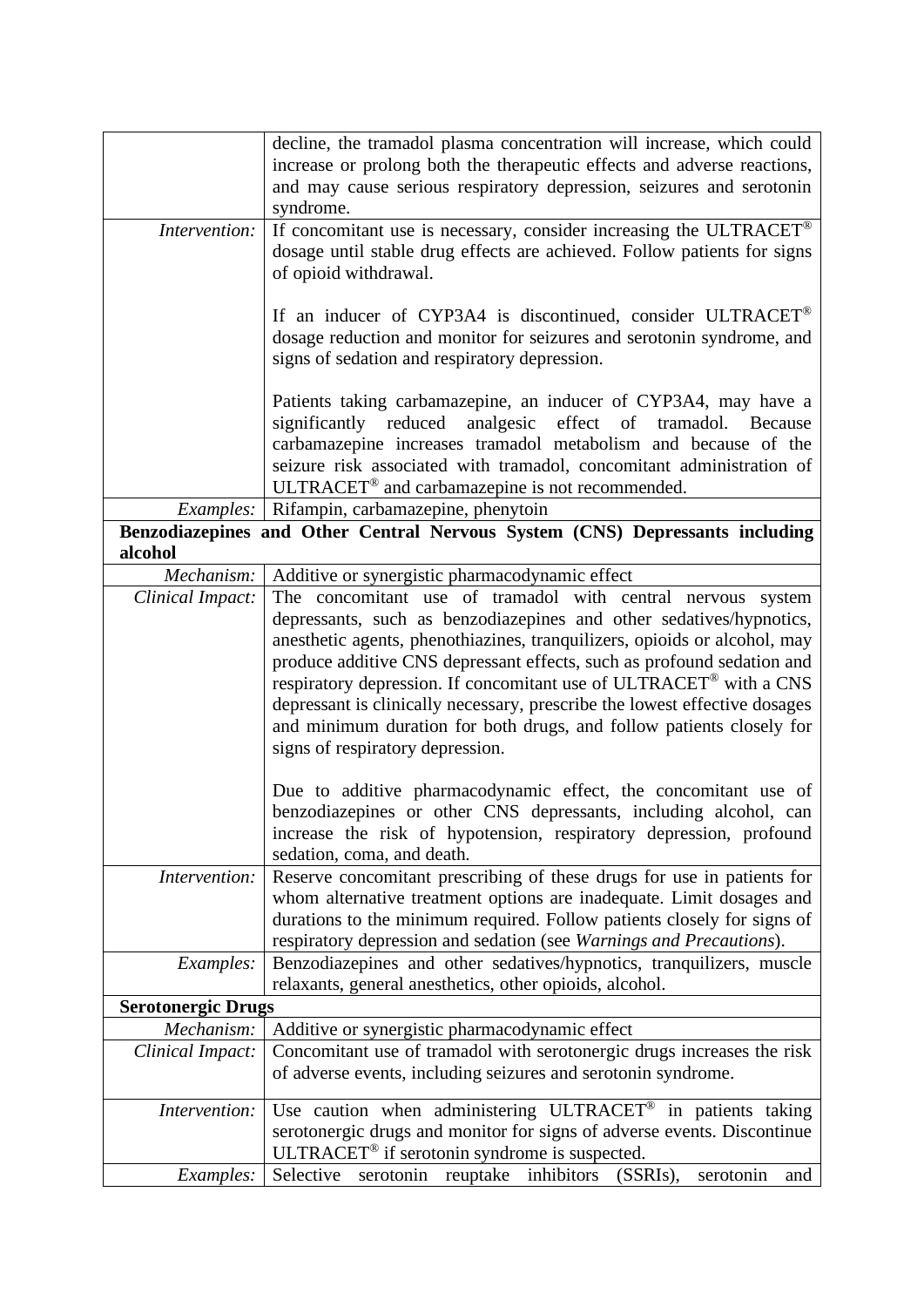|                           | decline, the tramadol plasma concentration will increase, which could        |  |
|---------------------------|------------------------------------------------------------------------------|--|
|                           | increase or prolong both the therapeutic effects and adverse reactions,      |  |
|                           | and may cause serious respiratory depression, seizures and serotonin         |  |
|                           | syndrome.                                                                    |  |
| Intervention:             | If concomitant use is necessary, consider increasing the ULTRACET®           |  |
|                           | dosage until stable drug effects are achieved. Follow patients for signs     |  |
|                           | of opioid withdrawal.                                                        |  |
|                           |                                                                              |  |
|                           | If an inducer of CYP3A4 is discontinued, consider ULTRACET <sup>®</sup>      |  |
|                           | dosage reduction and monitor for seizures and serotonin syndrome, and        |  |
|                           | signs of sedation and respiratory depression.                                |  |
|                           |                                                                              |  |
|                           | Patients taking carbamazepine, an inducer of CYP3A4, may have a              |  |
|                           | significantly reduced<br>analgesic effect of tramadol. Because               |  |
|                           | carbamazepine increases tramadol metabolism and because of the               |  |
|                           | seizure risk associated with tramadol, concomitant administration of         |  |
|                           | ULTRACET <sup>®</sup> and carbamazepine is not recommended.                  |  |
| Examples:                 | Rifampin, carbamazepine, phenytoin                                           |  |
|                           | Benzodiazepines and Other Central Nervous System (CNS) Depressants including |  |
| alcohol                   |                                                                              |  |
| Mechanism:                | Additive or synergistic pharmacodynamic effect                               |  |
| Clinical Impact:          | The concomitant use of tramadol with central nervous system                  |  |
|                           | depressants, such as benzodiazepines and other sedatives/hypnotics,          |  |
|                           | anesthetic agents, phenothiazines, tranquilizers, opioids or alcohol, may    |  |
|                           | produce additive CNS depressant effects, such as profound sedation and       |  |
|                           | respiratory depression. If concomitant use of ULTRACET® with a CNS           |  |
|                           | depressant is clinically necessary, prescribe the lowest effective dosages   |  |
|                           | and minimum duration for both drugs, and follow patients closely for         |  |
|                           | signs of respiratory depression.                                             |  |
|                           |                                                                              |  |
|                           | Due to additive pharmacodynamic effect, the concomitant use of               |  |
|                           | benzodiazepines or other CNS depressants, including alcohol, can             |  |
|                           | increase the risk of hypotension, respiratory depression, profound           |  |
|                           | sedation, coma, and death.                                                   |  |
| Intervention:             | Reserve concomitant prescribing of these drugs for use in patients for       |  |
|                           | whom alternative treatment options are inadequate. Limit dosages and         |  |
|                           | durations to the minimum required. Follow patients closely for signs of      |  |
|                           | respiratory depression and sedation (see Warnings and Precautions).          |  |
| <i>Examples:</i>          | Benzodiazepines and other sedatives/hypnotics, tranquilizers, muscle         |  |
|                           | relaxants, general anesthetics, other opioids, alcohol.                      |  |
| <b>Serotonergic Drugs</b> |                                                                              |  |
| Mechanism:                | Additive or synergistic pharmacodynamic effect                               |  |
| Clinical Impact:          | Concomitant use of tramadol with serotonergic drugs increases the risk       |  |
|                           |                                                                              |  |
|                           | of adverse events, including seizures and serotonin syndrome.                |  |
| Intervention:             | Use caution when administering ULTRACET <sup>®</sup> in patients taking      |  |
|                           | serotonergic drugs and monitor for signs of adverse events. Discontinue      |  |
|                           | ULTRACET <sup>®</sup> if serotonin syndrome is suspected.                    |  |
| <i>Examples:</i>          | Selective<br>serotonin reuptake inhibitors (SSRIs),<br>serotonin<br>and      |  |
|                           |                                                                              |  |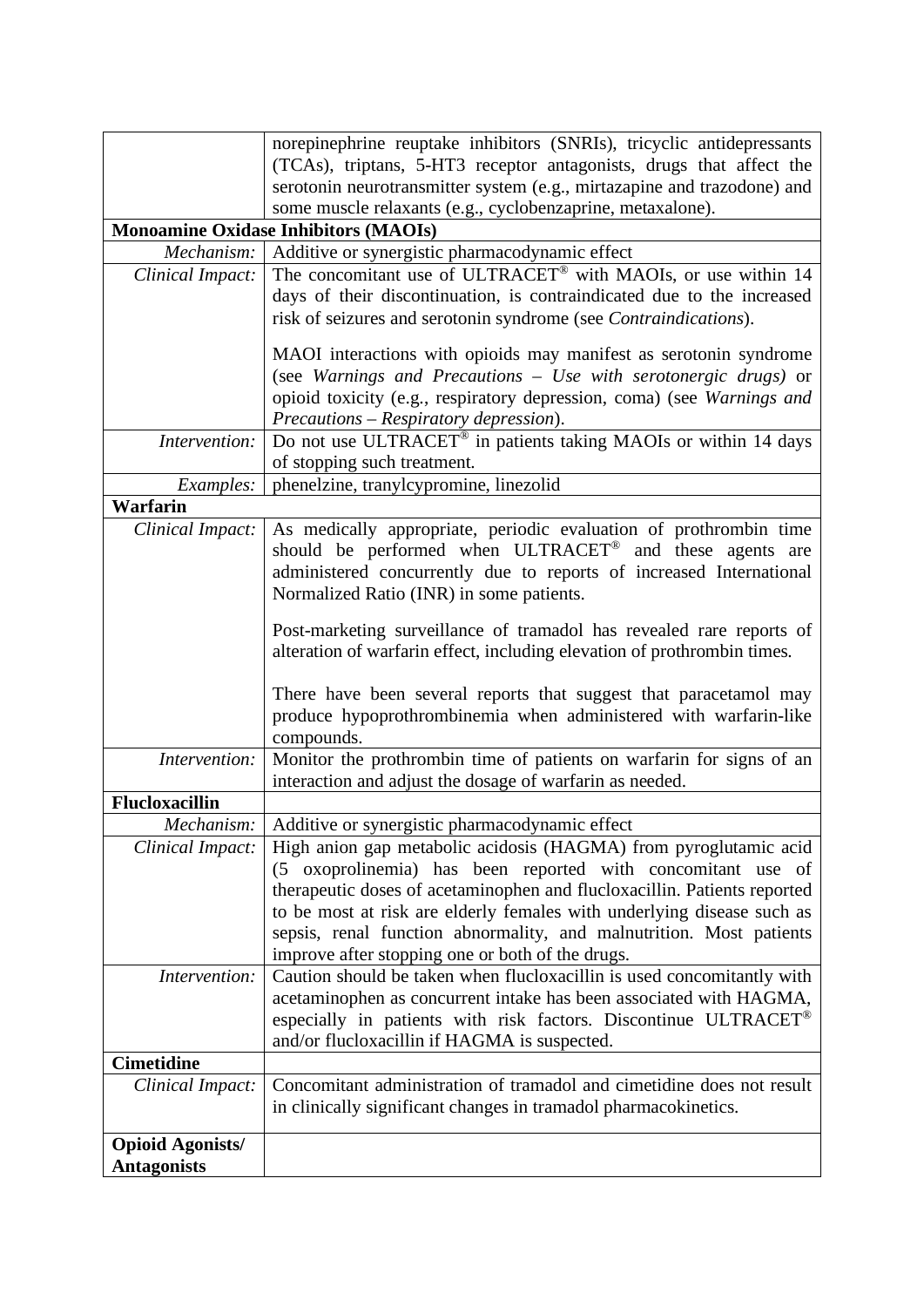|                         | norepinephrine reuptake inhibitors (SNRIs), tricyclic antidepressants                                                                            |  |
|-------------------------|--------------------------------------------------------------------------------------------------------------------------------------------------|--|
|                         | (TCAs), triptans, 5-HT3 receptor antagonists, drugs that affect the                                                                              |  |
|                         | serotonin neurotransmitter system (e.g., mirtazapine and trazodone) and                                                                          |  |
|                         | some muscle relaxants (e.g., cyclobenzaprine, metaxalone).                                                                                       |  |
|                         | <b>Monoamine Oxidase Inhibitors (MAOIs)</b>                                                                                                      |  |
| Mechanism:              | Additive or synergistic pharmacodynamic effect                                                                                                   |  |
| Clinical Impact:        | The concomitant use of ULTRACET® with MAOIs, or use within 14                                                                                    |  |
|                         | days of their discontinuation, is contraindicated due to the increased                                                                           |  |
|                         | risk of seizures and serotonin syndrome (see <i>Contraindications</i> ).                                                                         |  |
|                         |                                                                                                                                                  |  |
|                         | MAOI interactions with opioids may manifest as serotonin syndrome                                                                                |  |
|                         | (see Warnings and Precautions - Use with serotonergic drugs) or                                                                                  |  |
|                         | opioid toxicity (e.g., respiratory depression, coma) (see Warnings and                                                                           |  |
|                         | Precautions - Respiratory depression).                                                                                                           |  |
| Intervention:           | Do not use ULTRACET <sup>®</sup> in patients taking MAOIs or within 14 days                                                                      |  |
|                         | of stopping such treatment.                                                                                                                      |  |
| Examples:               | phenelzine, tranylcypromine, linezolid                                                                                                           |  |
| <b>Warfarin</b>         |                                                                                                                                                  |  |
| Clinical Impact:        | As medically appropriate, periodic evaluation of prothrombin time                                                                                |  |
|                         | should be performed when ULTRACET <sup>®</sup> and these agents are                                                                              |  |
|                         | administered concurrently due to reports of increased International                                                                              |  |
|                         | Normalized Ratio (INR) in some patients.                                                                                                         |  |
|                         |                                                                                                                                                  |  |
|                         | Post-marketing surveillance of tramadol has revealed rare reports of<br>alteration of warfarin effect, including elevation of prothrombin times. |  |
|                         |                                                                                                                                                  |  |
|                         | There have been several reports that suggest that paracetamol may                                                                                |  |
|                         | produce hypoprothrombinemia when administered with warfarin-like                                                                                 |  |
|                         | compounds.                                                                                                                                       |  |
| Intervention:           | Monitor the prothrombin time of patients on warfarin for signs of an                                                                             |  |
|                         | interaction and adjust the dosage of warfarin as needed.                                                                                         |  |
| <b>Flucloxacillin</b>   |                                                                                                                                                  |  |
|                         | Mechanism: Additive or synergistic pharmacodynamic effect                                                                                        |  |
| Clinical Impact:        | High anion gap metabolic acidosis (HAGMA) from pyroglutamic acid                                                                                 |  |
|                         | (5 oxoprolinemia) has been reported with concomitant use of                                                                                      |  |
|                         | therapeutic doses of acetaminophen and flucloxacillin. Patients reported                                                                         |  |
|                         | to be most at risk are elderly females with underlying disease such as                                                                           |  |
|                         | sepsis, renal function abnormality, and malnutrition. Most patients                                                                              |  |
|                         | improve after stopping one or both of the drugs.                                                                                                 |  |
| Intervention:           | Caution should be taken when flucloxacillin is used concomitantly with                                                                           |  |
|                         | acetaminophen as concurrent intake has been associated with HAGMA,                                                                               |  |
|                         | especially in patients with risk factors. Discontinue ULTRACET <sup>®</sup>                                                                      |  |
|                         | and/or flucloxacillin if HAGMA is suspected.                                                                                                     |  |
| <b>Cimetidine</b>       |                                                                                                                                                  |  |
| Clinical Impact:        | Concomitant administration of tramadol and cimetidine does not result                                                                            |  |
|                         | in clinically significant changes in tramadol pharmacokinetics.                                                                                  |  |
|                         |                                                                                                                                                  |  |
| <b>Opioid Agonists/</b> |                                                                                                                                                  |  |
| <b>Antagonists</b>      |                                                                                                                                                  |  |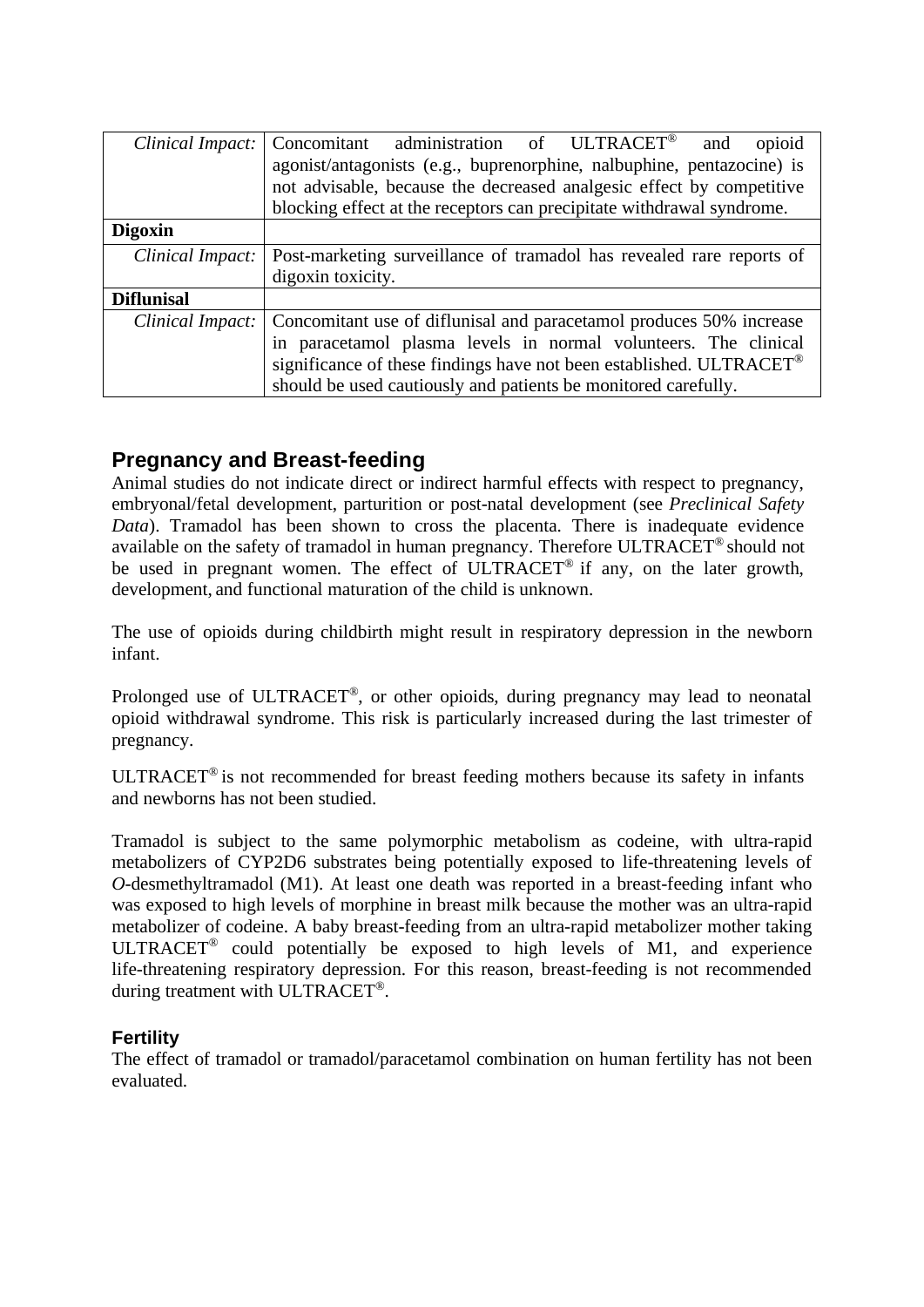| Clinical Impact:  | Concomitant administration of ULTRACET®<br>opioid<br>and                                       |  |
|-------------------|------------------------------------------------------------------------------------------------|--|
|                   | agonist/antagonists (e.g., buprenorphine, nalbuphine, pentazocine) is                          |  |
|                   | not advisable, because the decreased analgesic effect by competitive                           |  |
|                   | blocking effect at the receptors can precipitate withdrawal syndrome.                          |  |
| <b>Digoxin</b>    |                                                                                                |  |
|                   | <i>Clinical Impact:</i>   Post-marketing surveillance of tramadol has revealed rare reports of |  |
|                   | digoxin toxicity.                                                                              |  |
| <b>Diflunisal</b> |                                                                                                |  |
| Clinical Impact:  | Concomitant use of diflunisal and paracetamol produces 50% increase                            |  |
|                   | in paracetamol plasma levels in normal volunteers. The clinical                                |  |
|                   | significance of these findings have not been established. ULTRACET <sup>®</sup>                |  |
|                   | should be used cautiously and patients be monitored carefully.                                 |  |

## **Pregnancy and Breast-feeding**

Animal studies do not indicate direct or indirect harmful effects with respect to pregnancy, embryonal/fetal development, parturition or post-natal development (see *Preclinical Safety Data*). Tramadol has been shown to cross the placenta. There is inadequate evidence available on the safety of tramadol in human pregnancy. Therefore ULTRACET® should not be used in pregnant women. The effect of ULTRACET<sup>®</sup> if any, on the later growth, development, and functional maturation of the child is unknown.

The use of opioids during childbirth might result in respiratory depression in the newborn infant.

Prolonged use of ULTRACET®, or other opioids, during pregnancy may lead to neonatal opioid withdrawal syndrome. This risk is particularly increased during the last trimester of pregnancy.

ULTRACET® is not recommended for breast feeding mothers because its safety in infants and newborns has not been studied.

Tramadol is subject to the same polymorphic metabolism as codeine, with ultra-rapid metabolizers of CYP2D6 substrates being potentially exposed to life-threatening levels of *O*-desmethyltramadol (M1). At least one death was reported in a breast-feeding infant who was exposed to high levels of morphine in breast milk because the mother was an ultra-rapid metabolizer of codeine. A baby breast-feeding from an ultra-rapid metabolizer mother taking ULTRACET® could potentially be exposed to high levels of M1, and experience life-threatening respiratory depression. For this reason, breast-feeding is not recommended during treatment with ULTRACET®.

## **Fertility**

The effect of tramadol or tramadol/paracetamol combination on human fertility has not been evaluated.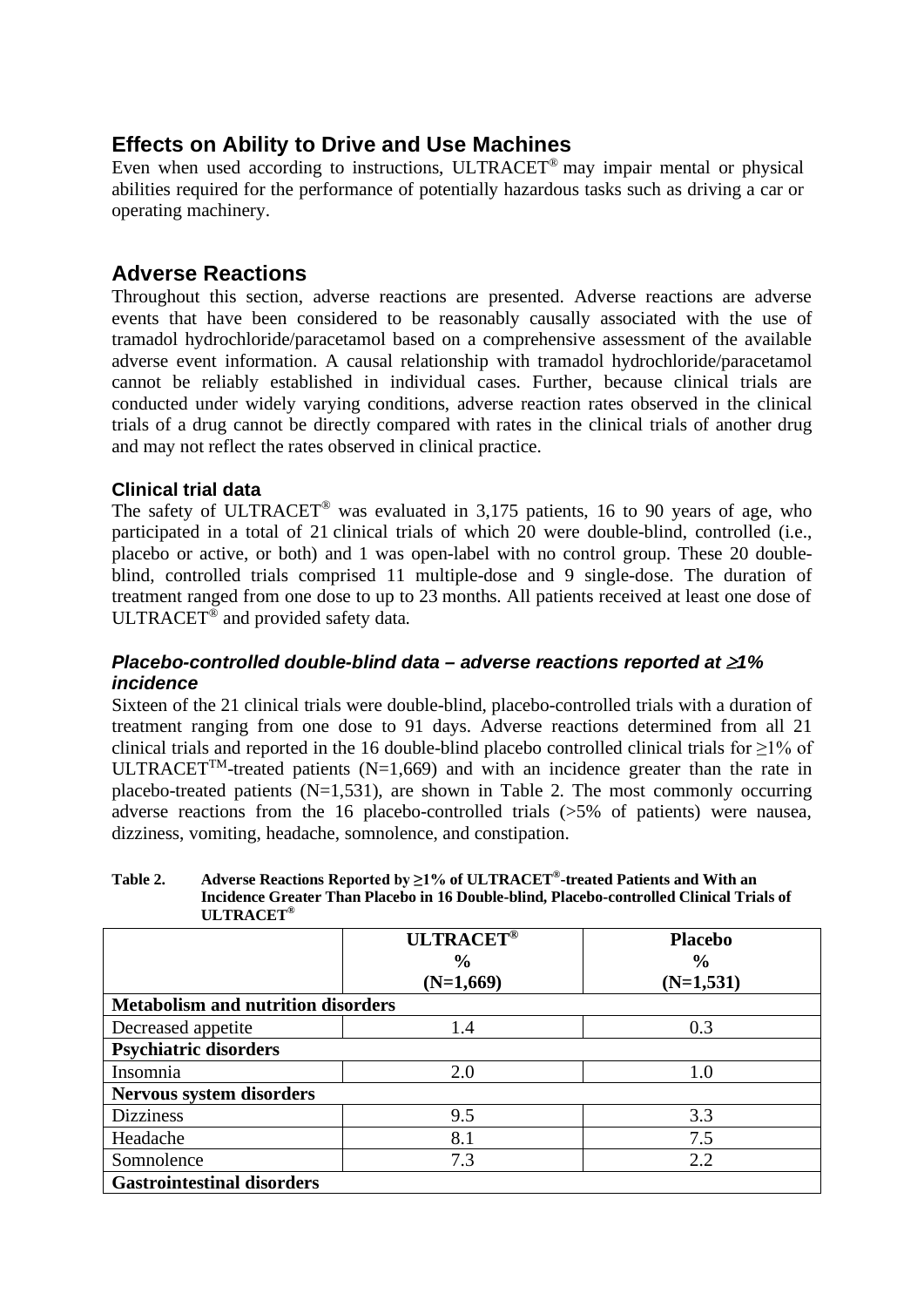## **Effects on Ability to Drive and Use Machines**

Even when used according to instructions, ULTRACET® may impair mental or physical abilities required for the performance of potentially hazardous tasks such as driving a car or operating machinery.

## **Adverse Reactions**

Throughout this section, adverse reactions are presented. Adverse reactions are adverse events that have been considered to be reasonably causally associated with the use of tramadol hydrochloride/paracetamol based on a comprehensive assessment of the available adverse event information. A causal relationship with tramadol hydrochloride/paracetamol cannot be reliably established in individual cases. Further, because clinical trials are conducted under widely varying conditions, adverse reaction rates observed in the clinical trials of a drug cannot be directly compared with rates in the clinical trials of another drug and may not reflect the rates observed in clinical practice.

## **Clinical trial data**

The safety of ULTRACET<sup>®</sup> was evaluated in 3,175 patients, 16 to 90 years of age, who participated in a total of 21 clinical trials of which 20 were double-blind, controlled (i.e., placebo or active, or both) and 1 was open-label with no control group. These 20 doubleblind, controlled trials comprised 11 multiple-dose and 9 single-dose. The duration of treatment ranged from one dose to up to 23 months. All patients received at least one dose of ULTRACET<sup>®</sup> and provided safety data.

## *Placebo-controlled double-blind data – adverse reactions reported at* ≥*1% incidence*

Sixteen of the 21 clinical trials were double-blind, placebo-controlled trials with a duration of treatment ranging from one dose to 91 days. Adverse reactions determined from all 21 clinical trials and reported in the 16 double-blind placebo controlled clinical trials for  $\geq$ 1% of ULTRACET<sup>TM</sup>-treated patients (N=1,669) and with an incidence greater than the rate in placebo-treated patients  $(N=1,531)$ , are shown in Table 2. The most commonly occurring adverse reactions from the 16 placebo-controlled trials (>5% of patients) were nausea, dizziness, vomiting, headache, somnolence, and constipation.

**Table 2. Adverse Reactions Reported by ≥1% of ULTRACET®-treated Patients and With an Incidence Greater Than Placebo in 16 Double-blind, Placebo-controlled Clinical Trials of ULTRACET®**

|                                           | <b>ULTRACET®</b><br>$\frac{0}{0}$<br>$(N=1,669)$ | <b>Placebo</b><br>$\frac{0}{0}$<br>$(N=1,531)$ |
|-------------------------------------------|--------------------------------------------------|------------------------------------------------|
| <b>Metabolism and nutrition disorders</b> |                                                  |                                                |
| Decreased appetite                        | 1.4                                              | 0.3                                            |
| <b>Psychiatric disorders</b>              |                                                  |                                                |
| Insomnia                                  | 2.0                                              | $1.0\,$                                        |
| Nervous system disorders                  |                                                  |                                                |
| <b>Dizziness</b>                          | 9.5                                              | 3.3                                            |
| Headache                                  | 8.1                                              | 7.5                                            |
| Somnolence                                | 7.3                                              | 2.2                                            |
| <b>Gastrointestinal disorders</b>         |                                                  |                                                |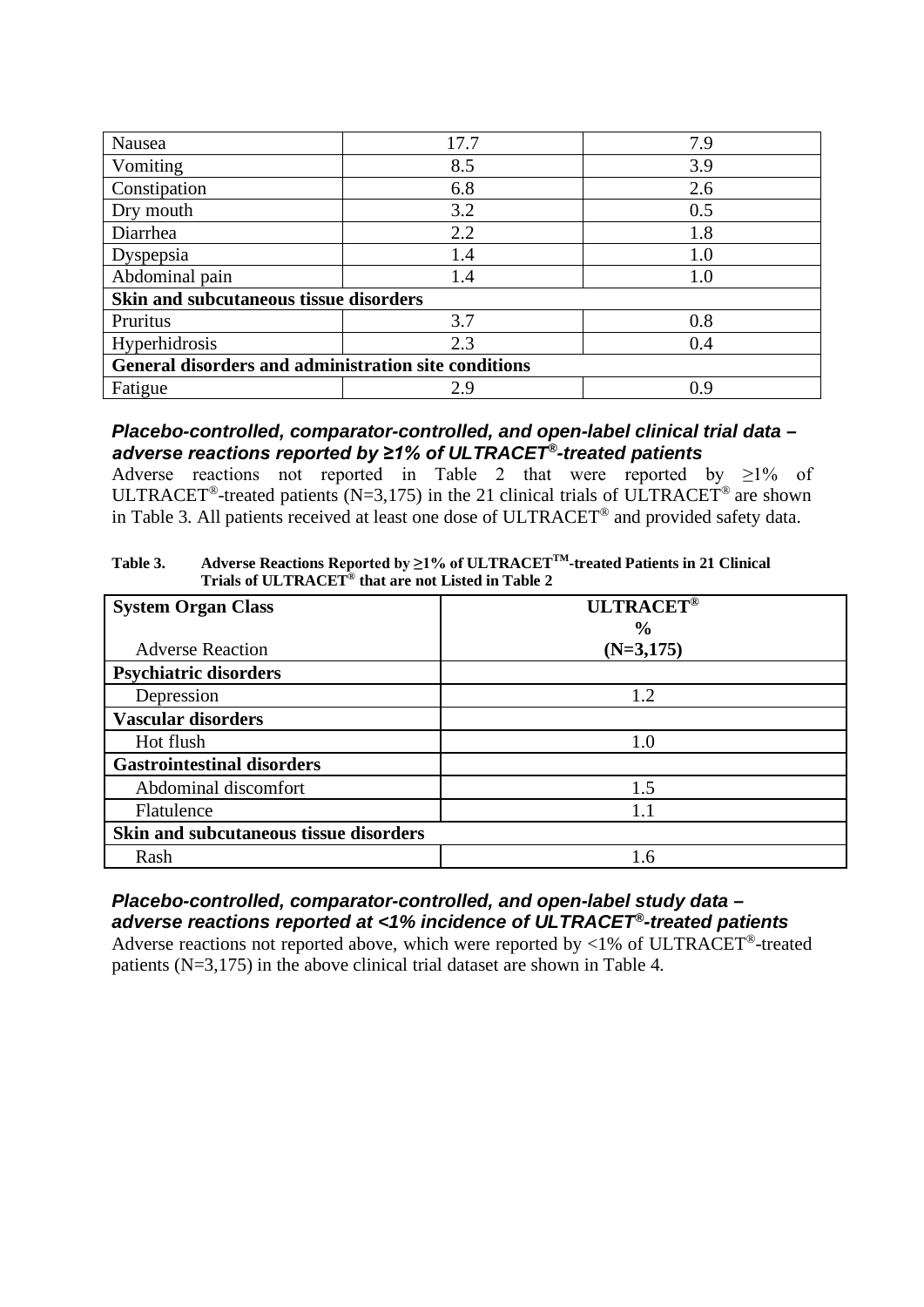| Nausea                                               | 17.7 | 7.9 |
|------------------------------------------------------|------|-----|
| Vomiting                                             | 8.5  | 3.9 |
| Constipation                                         | 6.8  | 2.6 |
| Dry mouth                                            | 3.2  | 0.5 |
| Diarrhea                                             | 2.2  | 1.8 |
| Dyspepsia                                            | 1.4  | 1.0 |
| Abdominal pain                                       | 1.4  | 1.0 |
| Skin and subcutaneous tissue disorders               |      |     |
| Pruritus                                             | 3.7  | 0.8 |
| Hyperhidrosis                                        | 2.3  | 0.4 |
| General disorders and administration site conditions |      |     |
| Fatigue                                              | 2.9  | 0.9 |

### *Placebo-controlled, comparator-controlled, and open-label clinical trial data – adverse reactions reported by ≥1% of ULTRACET®-treated patients*

Adverse reactions not reported in Table 2 that were reported by  $\geq 1\%$  of ULTRACET<sup>®</sup>-treated patients (N=3,175) in the 21 clinical trials of ULTRACET<sup>®</sup> are shown in Table 3. All patients received at least one dose of ULTRACET® and provided safety data.

**Table 3. Adverse Reactions Reported by ≥1% of ULTRACETTM-treated Patients in 21 Clinical Trials of ULTRACET® that are not Listed in Table 2**

| <b>System Organ Class</b>              | <b>ULTRACET®</b> |
|----------------------------------------|------------------|
|                                        | $\frac{0}{0}$    |
| <b>Adverse Reaction</b>                | $(N=3,175)$      |
| <b>Psychiatric disorders</b>           |                  |
| Depression                             | 1.2              |
| <b>Vascular disorders</b>              |                  |
| Hot flush                              | 1.0              |
| <b>Gastrointestinal disorders</b>      |                  |
| Abdominal discomfort                   | 1.5              |
| Flatulence                             | 11               |
| Skin and subcutaneous tissue disorders |                  |
| Rash                                   | 1.6              |

# *Placebo-controlled, comparator-controlled, and open-label study data – adverse reactions reported at <1% incidence of ULTRACET®-treated patients*

Adverse reactions not reported above, which were reported by  $\langle 1\% \rangle$  of ULTRACET<sup>®</sup>-treated patients (N=3,175) in the above clinical trial dataset are shown in Table 4.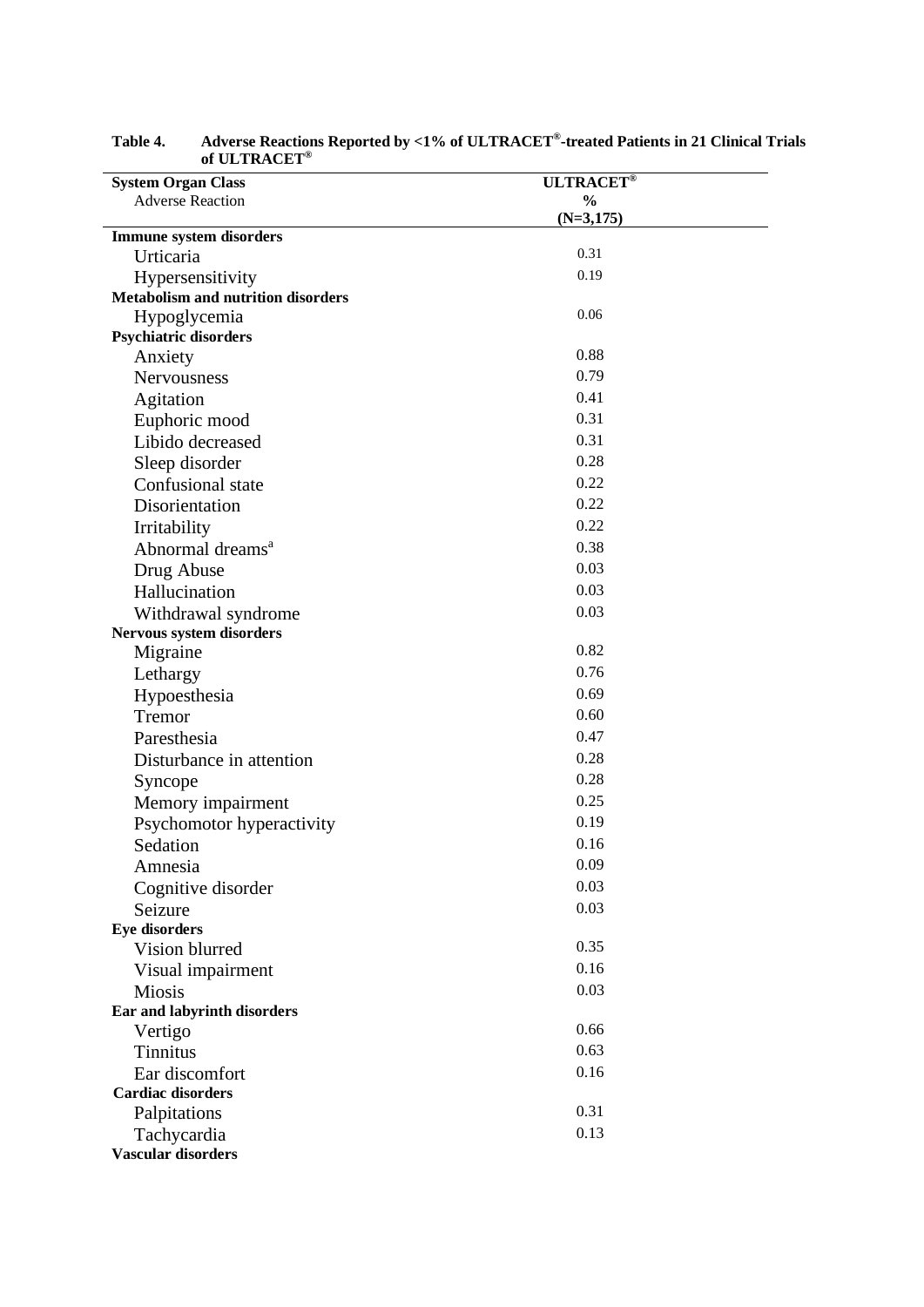| <b>System Organ Class</b>                 | <b>ULTRACET®</b> |  |
|-------------------------------------------|------------------|--|
| <b>Adverse Reaction</b>                   | $\frac{6}{9}$    |  |
|                                           | $(N=3,175)$      |  |
| <b>Immune system disorders</b>            |                  |  |
| Urticaria                                 | 0.31             |  |
| Hypersensitivity                          | 0.19             |  |
| <b>Metabolism and nutrition disorders</b> |                  |  |
| Hypoglycemia                              | 0.06             |  |
| <b>Psychiatric disorders</b>              |                  |  |
| Anxiety                                   | 0.88             |  |
| Nervousness                               | 0.79             |  |
| Agitation                                 | 0.41             |  |
| Euphoric mood                             | 0.31             |  |
| Libido decreased                          | 0.31             |  |
| Sleep disorder                            | 0.28             |  |
| Confusional state                         | 0.22             |  |
| Disorientation                            | 0.22             |  |
| Irritability                              | 0.22             |  |
| Abnormal dreams <sup>a</sup>              | 0.38             |  |
| Drug Abuse                                | 0.03             |  |
| Hallucination                             | 0.03             |  |
| Withdrawal syndrome                       | 0.03             |  |
| Nervous system disorders                  |                  |  |
| Migraine                                  | 0.82             |  |
| Lethargy                                  | 0.76             |  |
| Hypoesthesia                              | 0.69             |  |
| Tremor                                    | 0.60             |  |
| Paresthesia                               | 0.47             |  |
| Disturbance in attention                  | 0.28             |  |
| Syncope                                   | 0.28             |  |
| Memory impairment                         | 0.25             |  |
| Psychomotor hyperactivity                 | 0.19             |  |
| Sedation                                  | 0.16             |  |
| Amnesia                                   | 0.09             |  |
| Cognitive disorder                        | 0.03             |  |
| Seizure                                   | 0.03             |  |
| <b>Eye disorders</b>                      |                  |  |
| Vision blurred                            | 0.35             |  |
| Visual impairment                         | 0.16             |  |
| <b>Miosis</b>                             | 0.03             |  |
| Ear and labyrinth disorders               |                  |  |
| Vertigo                                   | 0.66             |  |
| <b>Tinnitus</b>                           | 0.63             |  |
| Ear discomfort                            | 0.16             |  |
| <b>Cardiac disorders</b>                  |                  |  |
| Palpitations                              | 0.31             |  |
| Tachycardia                               | 0.13             |  |
| <b>Vascular disorders</b>                 |                  |  |

| Table 4. | Adverse Reactions Reported by <1% of ULTRACET®-treated Patients in 21 Clinical Trials |
|----------|---------------------------------------------------------------------------------------|
|          | of ULTRACET®                                                                          |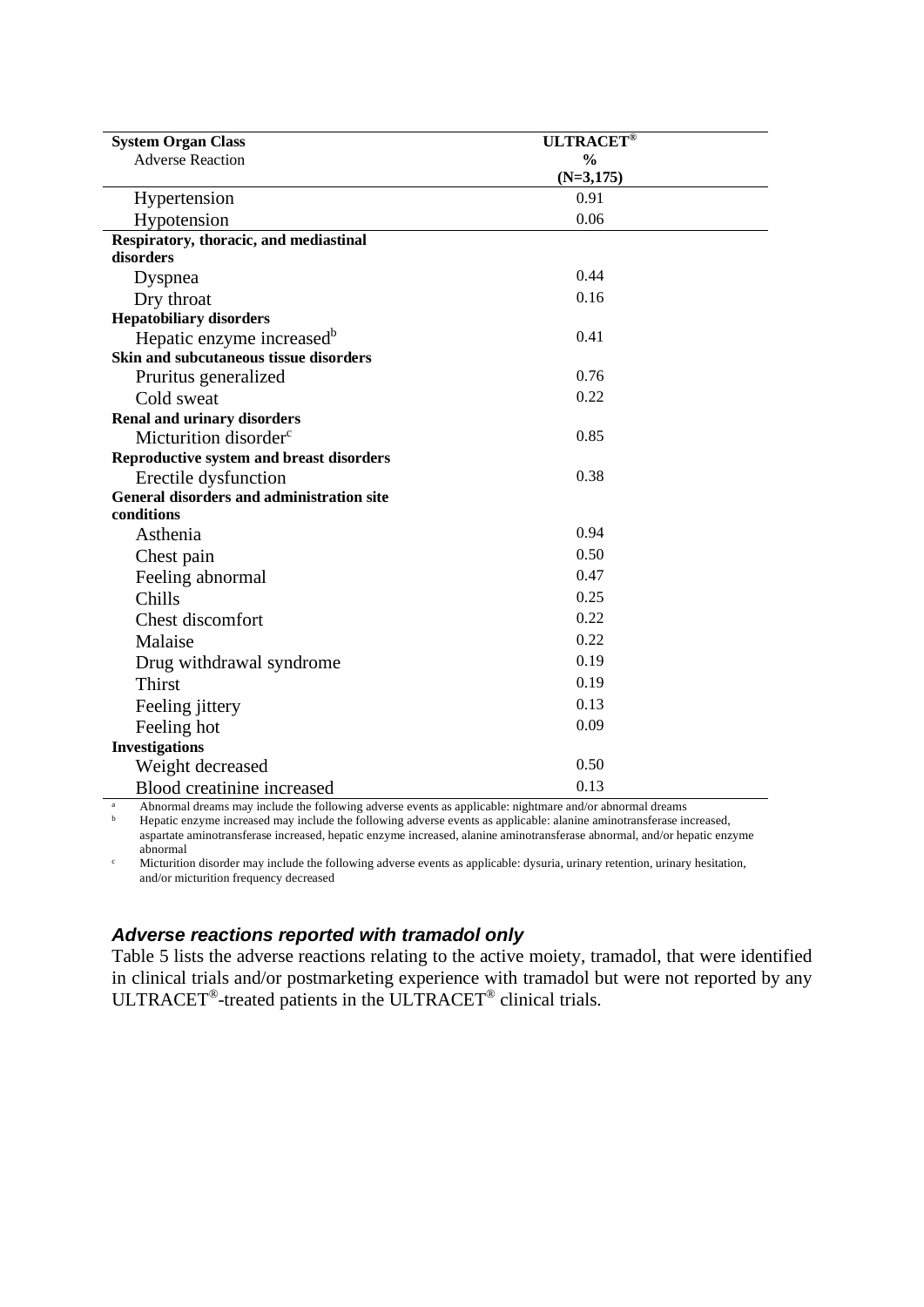| <b>System Organ Class</b>                                                                                                              | <b>ULTRACET®</b> |
|----------------------------------------------------------------------------------------------------------------------------------------|------------------|
| <b>Adverse Reaction</b>                                                                                                                | $\frac{0}{0}$    |
|                                                                                                                                        | $(N=3,175)$      |
| Hypertension                                                                                                                           | 0.91             |
| Hypotension                                                                                                                            | 0.06             |
| Respiratory, thoracic, and mediastinal                                                                                                 |                  |
| disorders                                                                                                                              |                  |
| Dyspnea                                                                                                                                | 0.44             |
| Dry throat                                                                                                                             | 0.16             |
| <b>Hepatobiliary disorders</b>                                                                                                         |                  |
| Hepatic enzyme increased <sup>b</sup>                                                                                                  | 0.41             |
| Skin and subcutaneous tissue disorders                                                                                                 |                  |
| Pruritus generalized                                                                                                                   | 0.76             |
| Cold sweat                                                                                                                             | 0.22             |
| <b>Renal and urinary disorders</b>                                                                                                     |                  |
| Micturition disorder <sup>c</sup>                                                                                                      | 0.85             |
| Reproductive system and breast disorders                                                                                               |                  |
| Erectile dysfunction                                                                                                                   | 0.38             |
| General disorders and administration site                                                                                              |                  |
| conditions                                                                                                                             |                  |
| Asthenia                                                                                                                               | 0.94             |
| Chest pain                                                                                                                             | 0.50             |
| Feeling abnormal                                                                                                                       | 0.47             |
| Chills                                                                                                                                 | 0.25             |
| Chest discomfort                                                                                                                       | 0.22             |
| Malaise                                                                                                                                | 0.22             |
| Drug withdrawal syndrome                                                                                                               | 0.19             |
| <b>Thirst</b>                                                                                                                          | 0.19             |
| Feeling jittery                                                                                                                        | 0.13             |
| Feeling hot                                                                                                                            | 0.09             |
| <b>Investigations</b>                                                                                                                  |                  |
| Weight decreased                                                                                                                       | 0.50             |
| Blood creatinine increased<br>Abnormal dreams may include the following adverse events as applicable; nightmare and/or abnormal dreams | 0.13             |

<sup>a</sup> Abnormal dreams may include the following adverse events as applicable: nightmare and/or abnormal dreams

<sup>b</sup> Hepatic enzyme increased may include the following adverse events as applicable: alanine aminotransferase increased, aspartate aminotransferase increased, hepatic enzyme increased, alanine aminotransferase abnormal, and/or hepatic enzyme abnormal

<sup>c</sup> Micturition disorder may include the following adverse events as applicable: dysuria, urinary retention, urinary hesitation, and/or micturition frequency decreased

## *Adverse reactions reported with tramadol only*

Table 5 lists the adverse reactions relating to the active moiety, tramadol, that were identified in clinical trials and/or postmarketing experience with tramadol but were not reported by any ULTRACET®-treated patients in the ULTRACET® clinical trials.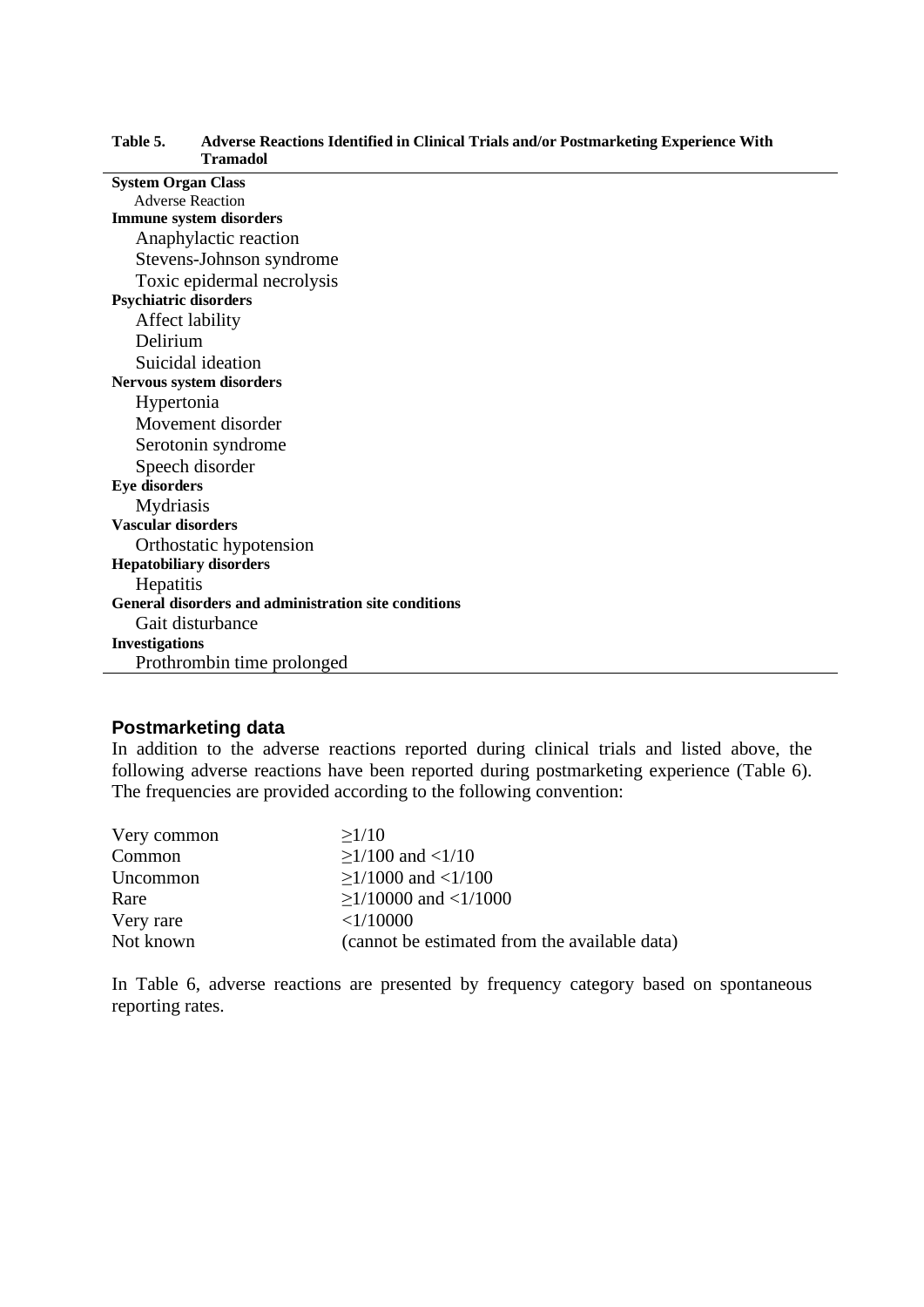| 1 ramadol                                            |
|------------------------------------------------------|
| <b>System Organ Class</b>                            |
| <b>Adverse Reaction</b>                              |
| <b>Immune system disorders</b>                       |
| Anaphylactic reaction                                |
| Stevens-Johnson syndrome                             |
| Toxic epidermal necrolysis                           |
| <b>Psychiatric disorders</b>                         |
| Affect lability                                      |
| Delirium                                             |
| Suicidal ideation                                    |
| Nervous system disorders                             |
| Hypertonia                                           |
| Movement disorder                                    |
| Serotonin syndrome                                   |
| Speech disorder                                      |
| <b>Eye disorders</b>                                 |
| Mydriasis                                            |
| <b>Vascular disorders</b>                            |
| Orthostatic hypotension                              |
| <b>Hepatobiliary disorders</b>                       |
| Hepatitis                                            |
| General disorders and administration site conditions |
| Gait disturbance                                     |
| <b>Investigations</b>                                |
| Prothrombin time prolonged                           |

#### **Table 5. Adverse Reactions Identified in Clinical Trials and/or Postmarketing Experience With Tramadol**

## **Postmarketing data**

In addition to the adverse reactions reported during clinical trials and listed above, the following adverse reactions have been reported during postmarketing experience (Table 6). The frequencies are provided according to the following convention:

| Very common | >1/10                                         |
|-------------|-----------------------------------------------|
| Common      | $>1/100$ and $<1/10$                          |
| Uncommon    | $>1/1000$ and $<1/100$                        |
| Rare        | $>1/10000$ and $<1/1000$                      |
| Very rare   | <1/10000                                      |
| Not known   | (cannot be estimated from the available data) |

In Table 6, adverse reactions are presented by frequency category based on spontaneous reporting rates.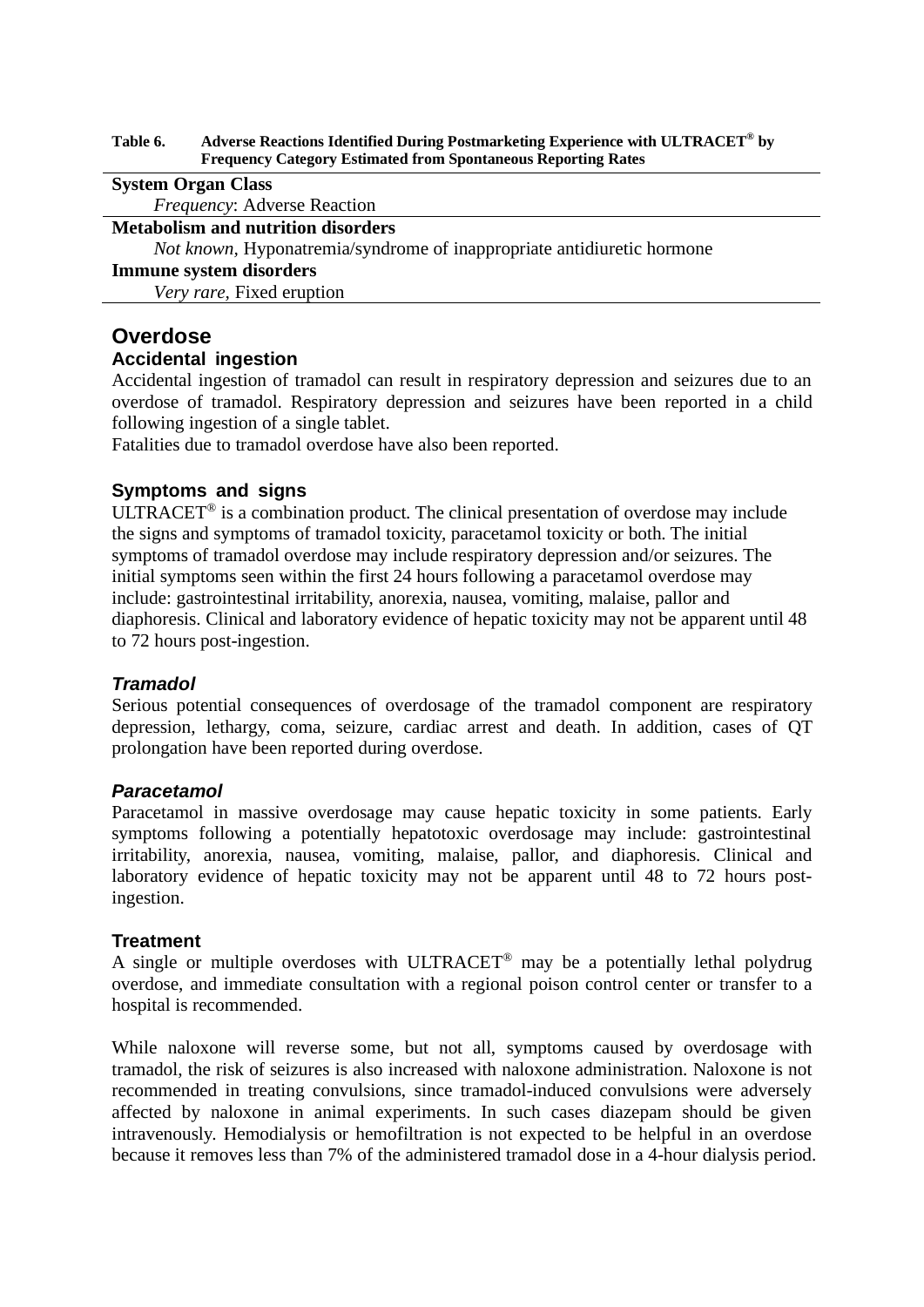#### **Table 6. Adverse Reactions Identified During Postmarketing Experience with ULTRACET® by Frequency Category Estimated from Spontaneous Reporting Rates**

#### **System Organ Class**

*Frequency*: Adverse Reaction

#### **Metabolism and nutrition disorders**

*Not known,* Hyponatremia/syndrome of inappropriate antidiuretic hormone

#### **Immune system disorders**

*Very rare,* Fixed eruption

## **Overdose**

### **Accidental ingestion**

Accidental ingestion of tramadol can result in respiratory depression and seizures due to an overdose of tramadol. Respiratory depression and seizures have been reported in a child following ingestion of a single tablet.

Fatalities due to tramadol overdose have also been reported.

### **Symptoms and signs**

ULTRACET® is a combination product. The clinical presentation of overdose may include the signs and symptoms of tramadol toxicity, paracetamol toxicity or both. The initial symptoms of tramadol overdose may include respiratory depression and/or seizures. The initial symptoms seen within the first 24 hours following a paracetamol overdose may include: gastrointestinal irritability, anorexia, nausea, vomiting, malaise, pallor and diaphoresis. Clinical and laboratory evidence of hepatic toxicity may not be apparent until 48 to 72 hours post-ingestion.

### *Tramadol*

Serious potential consequences of overdosage of the tramadol component are respiratory depression, lethargy, coma, seizure, cardiac arrest and death. In addition, cases of QT prolongation have been reported during overdose.

### *Paracetamol*

Paracetamol in massive overdosage may cause hepatic toxicity in some patients. Early symptoms following a potentially hepatotoxic overdosage may include: gastrointestinal irritability, anorexia, nausea, vomiting, malaise, pallor, and diaphoresis. Clinical and laboratory evidence of hepatic toxicity may not be apparent until 48 to 72 hours postingestion.

### **Treatment**

A single or multiple overdoses with ULTRACET® may be a potentially lethal polydrug overdose, and immediate consultation with a regional poison control center or transfer to a hospital is recommended.

While naloxone will reverse some, but not all, symptoms caused by overdosage with tramadol, the risk of seizures is also increased with naloxone administration. Naloxone is not recommended in treating convulsions, since tramadol-induced convulsions were adversely affected by naloxone in animal experiments. In such cases diazepam should be given intravenously. Hemodialysis or hemofiltration is not expected to be helpful in an overdose because it removes less than 7% of the administered tramadol dose in a 4-hour dialysis period.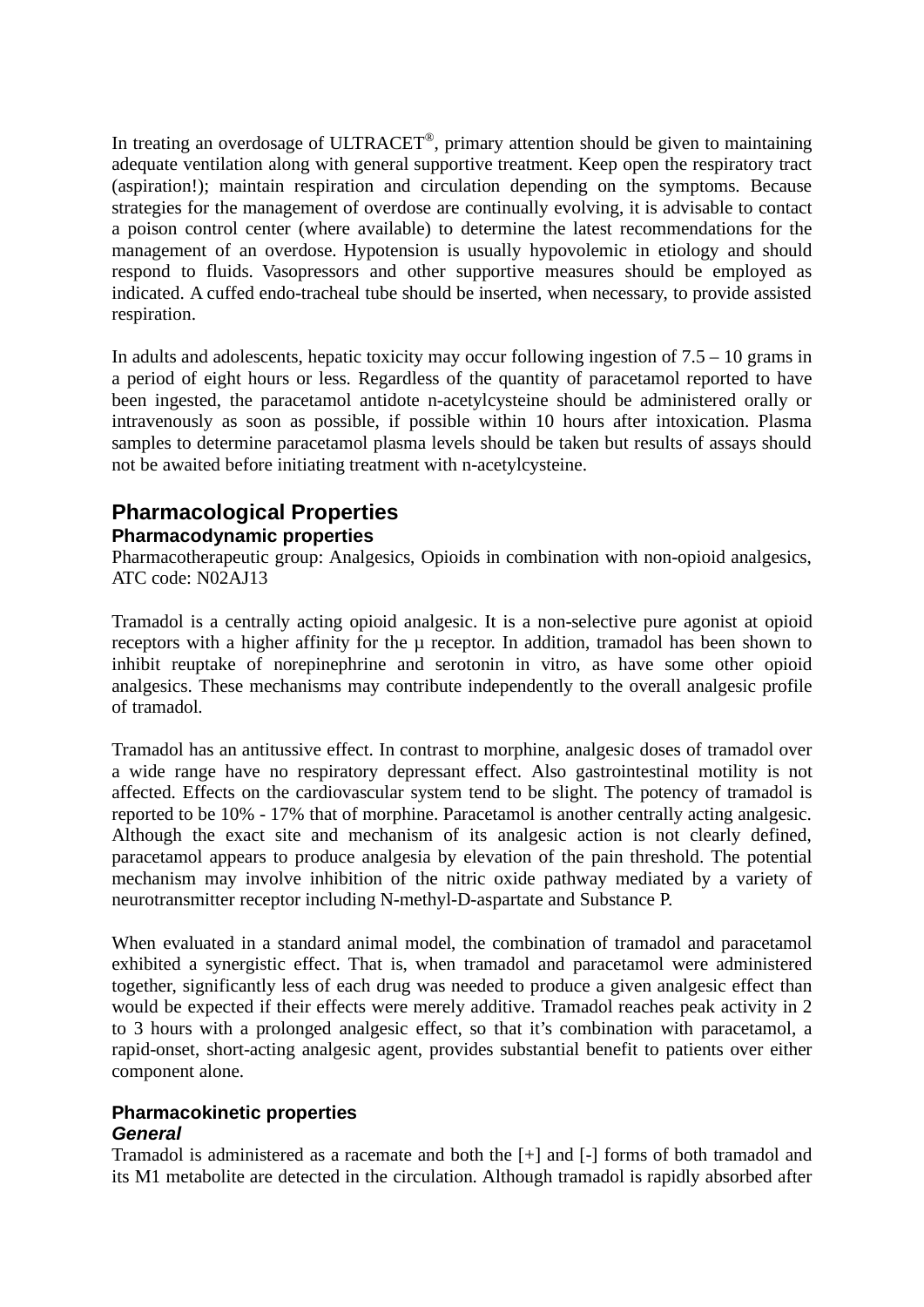In treating an overdosage of ULTRACET®, primary attention should be given to maintaining adequate ventilation along with general supportive treatment. Keep open the respiratory tract (aspiration!); maintain respiration and circulation depending on the symptoms. Because strategies for the management of overdose are continually evolving, it is advisable to contact a poison control center (where available) to determine the latest recommendations for the management of an overdose. Hypotension is usually hypovolemic in etiology and should respond to fluids. Vasopressors and other supportive measures should be employed as indicated. A cuffed endo-tracheal tube should be inserted, when necessary, to provide assisted respiration.

In adults and adolescents, hepatic toxicity may occur following ingestion of  $7.5 - 10$  grams in a period of eight hours or less. Regardless of the quantity of paracetamol reported to have been ingested, the paracetamol antidote n-acetylcysteine should be administered orally or intravenously as soon as possible, if possible within 10 hours after intoxication. Plasma samples to determine paracetamol plasma levels should be taken but results of assays should not be awaited before initiating treatment with n-acetylcysteine.

## **Pharmacological Properties Pharmacodynamic properties**

Pharmacotherapeutic group: Analgesics, Opioids in combination with non-opioid analgesics, ATC code: N02AJ13

Tramadol is a centrally acting opioid analgesic. It is a non-selective pure agonist at opioid receptors with a higher affinity for the  $\mu$  receptor. In addition, tramadol has been shown to inhibit reuptake of norepinephrine and serotonin in vitro, as have some other opioid analgesics. These mechanisms may contribute independently to the overall analgesic profile of tramadol.

Tramadol has an antitussive effect. In contrast to morphine, analgesic doses of tramadol over a wide range have no respiratory depressant effect. Also gastrointestinal motility is not affected. Effects on the cardiovascular system tend to be slight. The potency of tramadol is reported to be 10% - 17% that of morphine. Paracetamol is another centrally acting analgesic. Although the exact site and mechanism of its analgesic action is not clearly defined, paracetamol appears to produce analgesia by elevation of the pain threshold. The potential mechanism may involve inhibition of the nitric oxide pathway mediated by a variety of neurotransmitter receptor including N-methyl-D-aspartate and Substance P.

When evaluated in a standard animal model, the combination of tramadol and paracetamol exhibited a synergistic effect. That is, when tramadol and paracetamol were administered together, significantly less of each drug was needed to produce a given analgesic effect than would be expected if their effects were merely additive. Tramadol reaches peak activity in 2 to 3 hours with a prolonged analgesic effect, so that it's combination with paracetamol, a rapid-onset, short-acting analgesic agent, provides substantial benefit to patients over either component alone.

## **Pharmacokinetic properties** *General*

Tramadol is administered as a racemate and both the [+] and [-] forms of both tramadol and its M1 metabolite are detected in the circulation. Although tramadol is rapidly absorbed after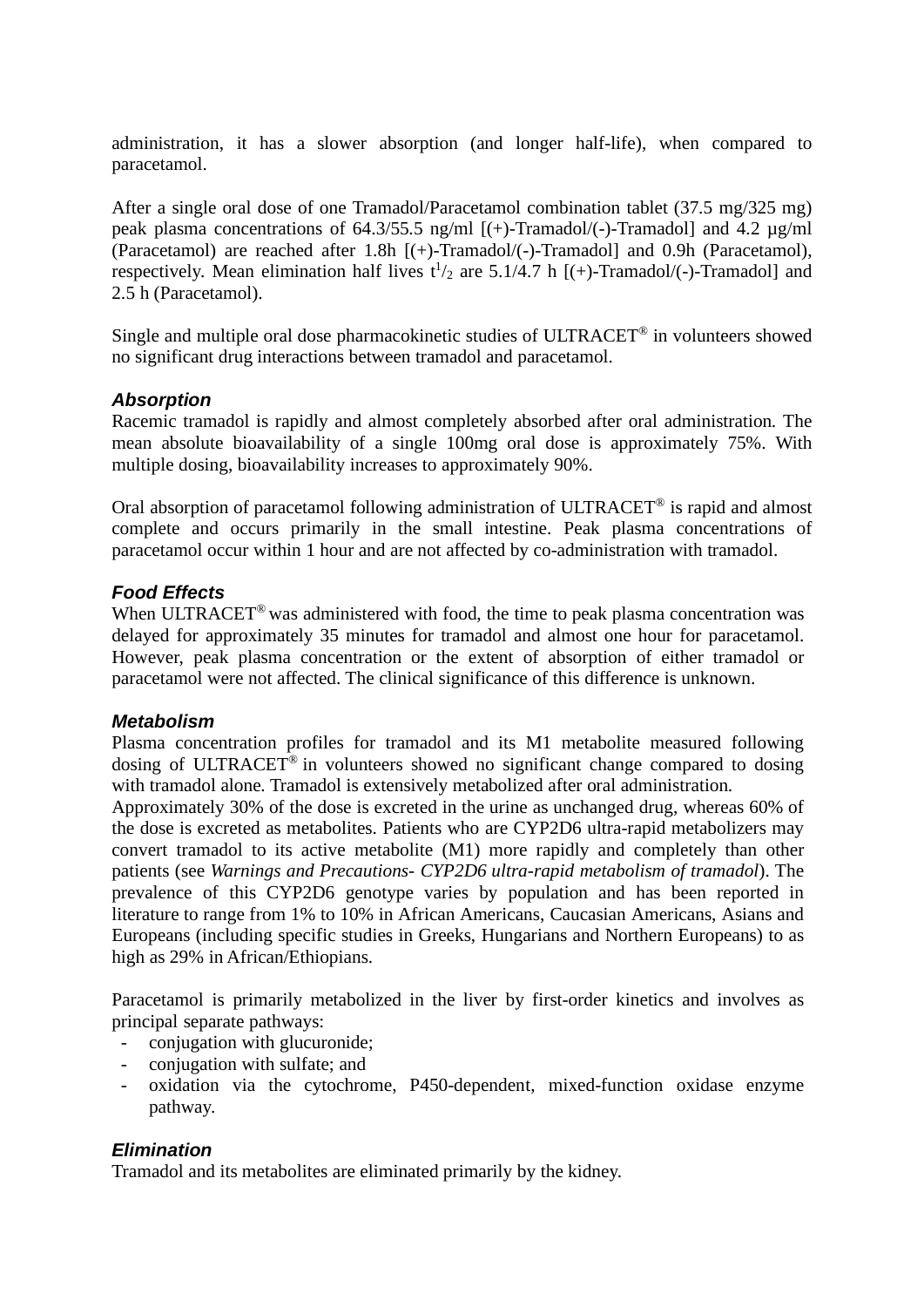administration, it has a slower absorption (and longer half-life), when compared to paracetamol.

After a single oral dose of one Tramadol/Paracetamol combination tablet (37.5 mg/325 mg) peak plasma concentrations of 64.3/55.5 ng/ml [(+)-Tramadol/(-)-Tramadol] and 4.2 µg/ml (Paracetamol) are reached after 1.8h [(+)-Tramadol/(-)-Tramadol] and 0.9h (Paracetamol), respectively. Mean elimination half lives  $t^{1/2}$  are 5.1/4.7 h [(+)-Tramadol/(-)-Tramadol] and 2.5 h (Paracetamol).

Single and multiple oral dose pharmacokinetic studies of ULTRACET® in volunteers showed no significant drug interactions between tramadol and paracetamol.

### *Absorption*

Racemic tramadol is rapidly and almost completely absorbed after oral administration. The mean absolute bioavailability of a single 100mg oral dose is approximately 75%. With multiple dosing, bioavailability increases to approximately 90%.

Oral absorption of paracetamol following administration of ULTRACET<sup>®</sup> is rapid and almost complete and occurs primarily in the small intestine. Peak plasma concentrations of paracetamol occur within 1 hour and are not affected by co-administration with tramadol.

### *Food Effects*

When ULTRACET<sup>®</sup> was administered with food, the time to peak plasma concentration was delayed for approximately 35 minutes for tramadol and almost one hour for paracetamol. However, peak plasma concentration or the extent of absorption of either tramadol or paracetamol were not affected. The clinical significance of this difference is unknown.

### *Metabolism*

Plasma concentration profiles for tramadol and its M1 metabolite measured following dosing of ULTRACET® in volunteers showed no significant change compared to dosing with tramadol alone. Tramadol is extensively metabolized after oral administration.

Approximately 30% of the dose is excreted in the urine as unchanged drug, whereas 60% of the dose is excreted as metabolites. Patients who are CYP2D6 ultra-rapid metabolizers may convert tramadol to its active metabolite (M1) more rapidly and completely than other patients (see *Warnings and Precautions- CYP2D6 ultra-rapid metabolism of tramadol*). The prevalence of this CYP2D6 genotype varies by population and has been reported in literature to range from 1% to 10% in African Americans, Caucasian Americans, Asians and Europeans (including specific studies in Greeks, Hungarians and Northern Europeans) to as high as 29% in African/Ethiopians.

Paracetamol is primarily metabolized in the liver by first-order kinetics and involves as principal separate pathways:

- conjugation with glucuronide;
- conjugation with sulfate; and
- oxidation via the cytochrome, P450-dependent, mixed-function oxidase enzyme pathway.

## *Elimination*

Tramadol and its metabolites are eliminated primarily by the kidney.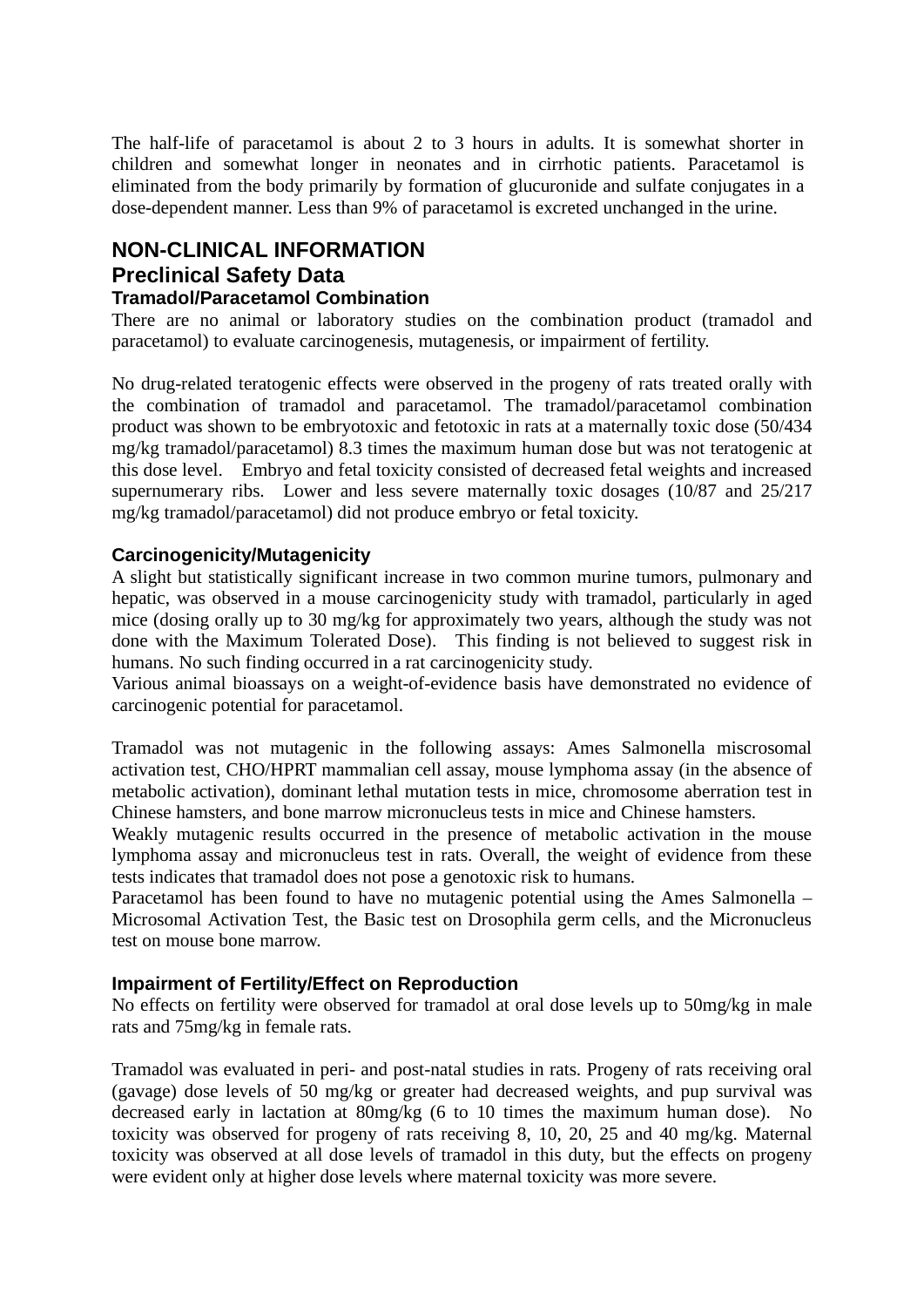The half-life of paracetamol is about 2 to 3 hours in adults. It is somewhat shorter in children and somewhat longer in neonates and in cirrhotic patients. Paracetamol is eliminated from the body primarily by formation of glucuronide and sulfate conjugates in a dose-dependent manner. Less than 9% of paracetamol is excreted unchanged in the urine.

# **NON-CLINICAL INFORMATION Preclinical Safety Data**

## **Tramadol/Paracetamol Combination**

There are no animal or laboratory studies on the combination product (tramadol and paracetamol) to evaluate carcinogenesis, mutagenesis, or impairment of fertility.

No drug-related teratogenic effects were observed in the progeny of rats treated orally with the combination of tramadol and paracetamol. The tramadol/paracetamol combination product was shown to be embryotoxic and fetotoxic in rats at a maternally toxic dose (50/434 mg/kg tramadol/paracetamol) 8.3 times the maximum human dose but was not teratogenic at this dose level. Embryo and fetal toxicity consisted of decreased fetal weights and increased supernumerary ribs. Lower and less severe maternally toxic dosages (10/87 and 25/217 mg/kg tramadol/paracetamol) did not produce embryo or fetal toxicity.

### **Carcinogenicity/Mutagenicity**

A slight but statistically significant increase in two common murine tumors, pulmonary and hepatic, was observed in a mouse carcinogenicity study with tramadol, particularly in aged mice (dosing orally up to 30 mg/kg for approximately two years, although the study was not done with the Maximum Tolerated Dose). This finding is not believed to suggest risk in humans. No such finding occurred in a rat carcinogenicity study.

Various animal bioassays on a weight-of-evidence basis have demonstrated no evidence of carcinogenic potential for paracetamol.

Tramadol was not mutagenic in the following assays: Ames Salmonella miscrosomal activation test, CHO/HPRT mammalian cell assay, mouse lymphoma assay (in the absence of metabolic activation), dominant lethal mutation tests in mice, chromosome aberration test in Chinese hamsters, and bone marrow micronucleus tests in mice and Chinese hamsters.

Weakly mutagenic results occurred in the presence of metabolic activation in the mouse lymphoma assay and micronucleus test in rats. Overall, the weight of evidence from these tests indicates that tramadol does not pose a genotoxic risk to humans.

Paracetamol has been found to have no mutagenic potential using the Ames Salmonella – Microsomal Activation Test, the Basic test on Drosophila germ cells, and the Micronucleus test on mouse bone marrow.

### **Impairment of Fertility/Effect on Reproduction**

No effects on fertility were observed for tramadol at oral dose levels up to 50mg/kg in male rats and 75mg/kg in female rats.

Tramadol was evaluated in peri- and post-natal studies in rats. Progeny of rats receiving oral (gavage) dose levels of 50 mg/kg or greater had decreased weights, and pup survival was decreased early in lactation at 80mg/kg (6 to 10 times the maximum human dose). No toxicity was observed for progeny of rats receiving 8, 10, 20, 25 and 40 mg/kg. Maternal toxicity was observed at all dose levels of tramadol in this duty, but the effects on progeny were evident only at higher dose levels where maternal toxicity was more severe.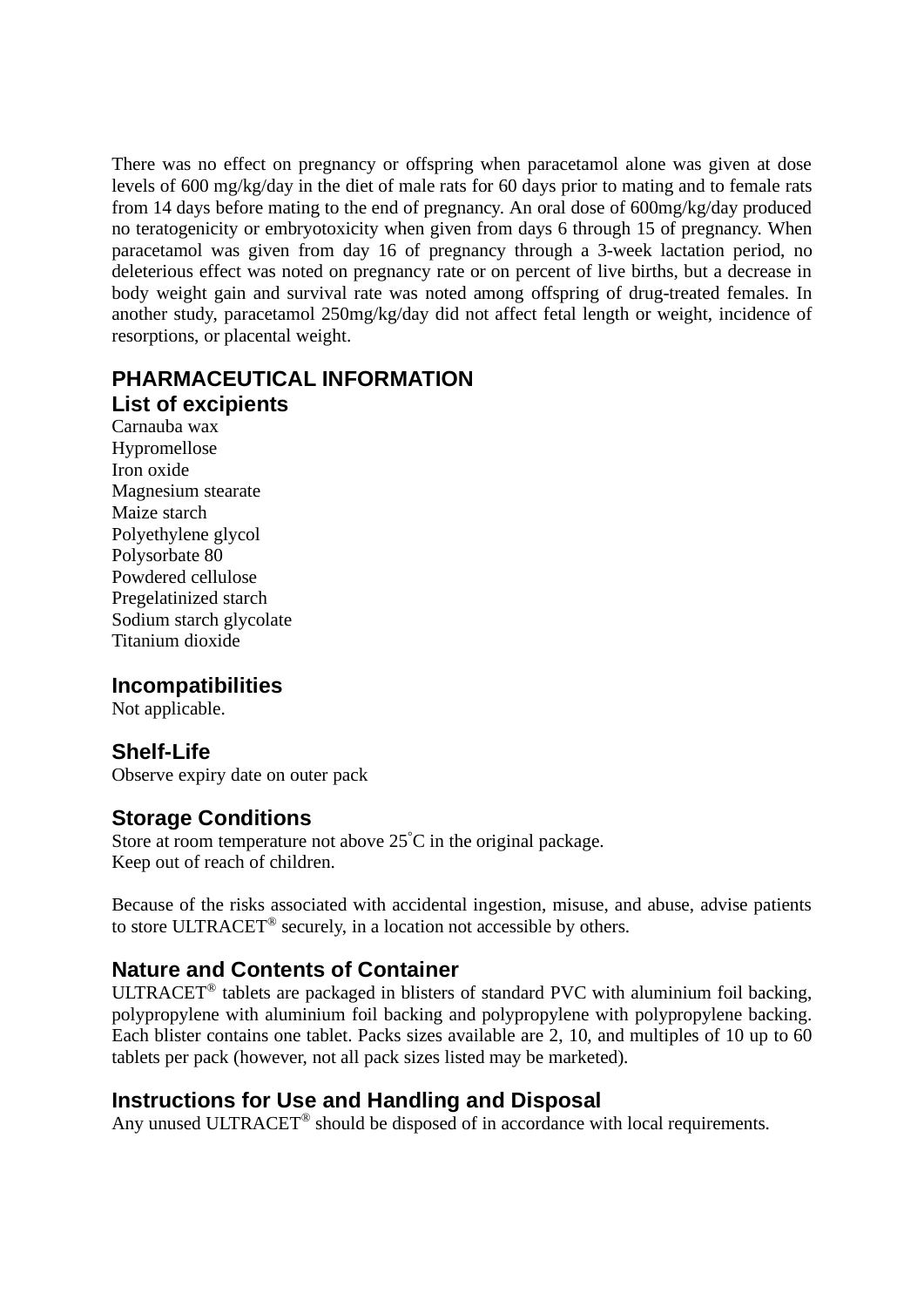There was no effect on pregnancy or offspring when paracetamol alone was given at dose levels of 600 mg/kg/day in the diet of male rats for 60 days prior to mating and to female rats from 14 days before mating to the end of pregnancy. An oral dose of 600mg/kg/day produced no teratogenicity or embryotoxicity when given from days 6 through 15 of pregnancy. When paracetamol was given from day 16 of pregnancy through a 3-week lactation period, no deleterious effect was noted on pregnancy rate or on percent of live births, but a decrease in body weight gain and survival rate was noted among offspring of drug-treated females. In another study, paracetamol 250mg/kg/day did not affect fetal length or weight, incidence of resorptions, or placental weight.

## **PHARMACEUTICAL INFORMATION List of excipients**

Carnauba wax Hypromellose Iron oxide Magnesium stearate Maize starch Polyethylene glycol Polysorbate 80 Powdered cellulose Pregelatinized starch Sodium starch glycolate Titanium dioxide

## **Incompatibilities**

Not applicable.

## **Shelf-Life**

Observe expiry date on outer pack

## **Storage Conditions**

Store at room temperature not above  $25^{\circ}$ C in the original package. Keep out of reach of children.

Because of the risks associated with accidental ingestion, misuse, and abuse, advise patients to store ULTRACET® securely, in a location not accessible by others.

## **Nature and Contents of Container**

ULTRACET® tablets are packaged in blisters of standard PVC with aluminium foil backing, polypropylene with aluminium foil backing and polypropylene with polypropylene backing. Each blister contains one tablet. Packs sizes available are 2, 10, and multiples of 10 up to 60 tablets per pack (however, not all pack sizes listed may be marketed).

## **Instructions for Use and Handling and Disposal**

Any unused ULTRACET<sup>®</sup> should be disposed of in accordance with local requirements.